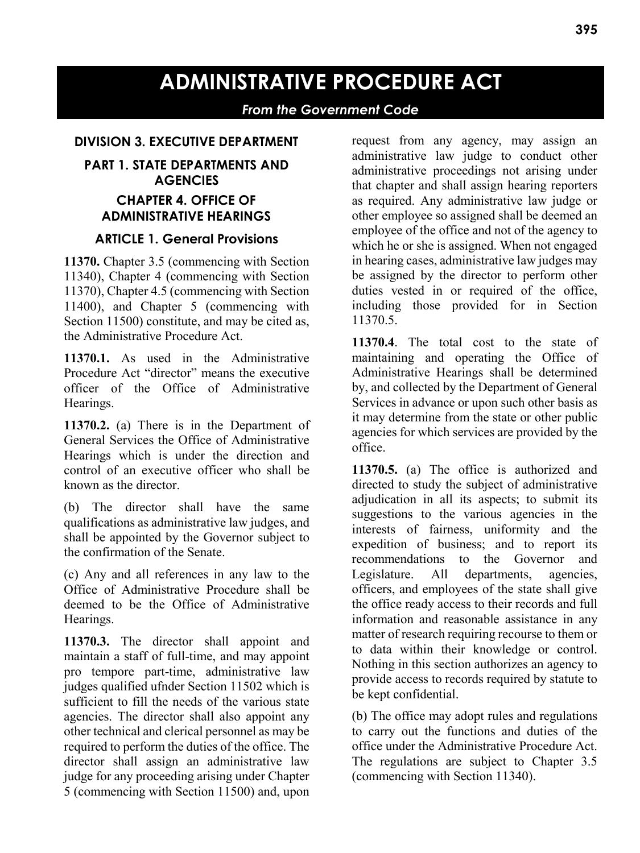# **ADMINISTRATIVE PROCEDURE ACT**

*From the Government Code*

#### **DIVISION 3. EXECUTIVE DEPARTMENT**

# **PART 1. STATE DEPARTMENTS AND AGENCIES CHAPTER 4. OFFICE OF ADMINISTRATIVE HEARINGS**

#### **ARTICLE 1. General Provisions**

**11370.** Chapter 3.5 (commencing with Section 11340), Chapter 4 (commencing with Section 11370), Chapter 4.5 (commencing with Section 11400), and Chapter 5 (commencing with Section 11500) constitute, and may be cited as, the Administrative Procedure Act.

**11370.1.** As used in the Administrative Procedure Act "director" means the executive officer of the Office of Administrative Hearings.

**11370.2.** (a) There is in the Department of General Services the Office of Administrative Hearings which is under the direction and control of an executive officer who shall be known as the director.

(b) The director shall have the same qualifications as administrative law judges, and shall be appointed by the Governor subject to the confirmation of the Senate.

(c) Any and all references in any law to the Office of Administrative Procedure shall be deemed to be the Office of Administrative Hearings.

**11370.3.** The director shall appoint and maintain a staff of full-time, and may appoint pro tempore part-time, administrative law judges qualified ufnder Section 11502 which is sufficient to fill the needs of the various state agencies. The director shall also appoint any other technical and clerical personnel as may be required to perform the duties of the office. The director shall assign an administrative law judge for any proceeding arising under Chapter 5 (commencing with Section 11500) and, upon request from any agency, may assign an administrative law judge to conduct other administrative proceedings not arising under that chapter and shall assign hearing reporters as required. Any administrative law judge or other employee so assigned shall be deemed an employee of the office and not of the agency to which he or she is assigned. When not engaged in hearing cases, administrative law judges may be assigned by the director to perform other duties vested in or required of the office, including those provided for in Section 11370.5.

**11370.4**. The total cost to the state of maintaining and operating the Office of Administrative Hearings shall be determined by, and collected by the Department of General Services in advance or upon such other basis as it may determine from the state or other public agencies for which services are provided by the office.

**11370.5.** (a) The office is authorized and directed to study the subject of administrative adjudication in all its aspects; to submit its suggestions to the various agencies in the interests of fairness, uniformity and the expedition of business; and to report its recommendations to the Governor and Legislature. All departments, agencies, officers, and employees of the state shall give the office ready access to their records and full information and reasonable assistance in any matter of research requiring recourse to them or to data within their knowledge or control. Nothing in this section authorizes an agency to provide access to records required by statute to be kept confidential.

(b) The office may adopt rules and regulations to carry out the functions and duties of the office under the Administrative Procedure Act. The regulations are subject to Chapter 3.5 (commencing with Section 11340).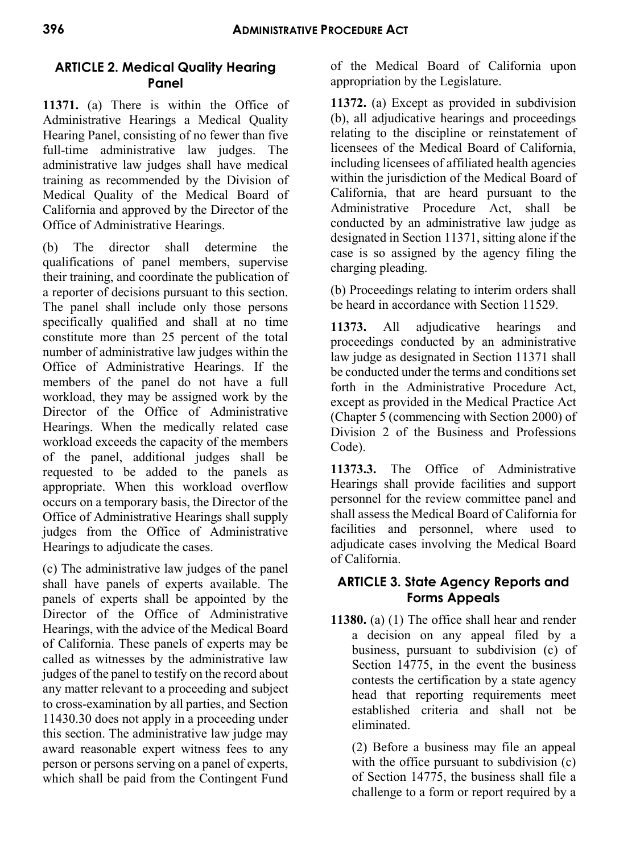# **ARTICLE 2. Medical Quality Hearing Panel**

**11371.** (a) There is within the Office of Administrative Hearings a Medical Quality Hearing Panel, consisting of no fewer than five full-time administrative law judges. The administrative law judges shall have medical training as recommended by the Division of Medical Quality of the Medical Board of California and approved by the Director of the Office of Administrative Hearings.

(b) The director shall determine the qualifications of panel members, supervise their training, and coordinate the publication of a reporter of decisions pursuant to this section. The panel shall include only those persons specifically qualified and shall at no time constitute more than 25 percent of the total number of administrative law judges within the Office of Administrative Hearings. If the members of the panel do not have a full workload, they may be assigned work by the Director of the Office of Administrative Hearings. When the medically related case workload exceeds the capacity of the members of the panel, additional judges shall be requested to be added to the panels as appropriate. When this workload overflow occurs on a temporary basis, the Director of the Office of Administrative Hearings shall supply judges from the Office of Administrative Hearings to adjudicate the cases.

(c) The administrative law judges of the panel shall have panels of experts available. The panels of experts shall be appointed by the Director of the Office of Administrative Hearings, with the advice of the Medical Board of California. These panels of experts may be called as witnesses by the administrative law judges of the panel to testify on the record about any matter relevant to a proceeding and subject to cross-examination by all parties, and Section 11430.30 does not apply in a proceeding under this section. The administrative law judge may award reasonable expert witness fees to any person or persons serving on a panel of experts, which shall be paid from the Contingent Fund of the Medical Board of California upon appropriation by the Legislature.

**11372.** (a) Except as provided in subdivision (b), all adjudicative hearings and proceedings relating to the discipline or reinstatement of licensees of the Medical Board of California, including licensees of affiliated health agencies within the jurisdiction of the Medical Board of California, that are heard pursuant to the Administrative Procedure Act, shall be conducted by an administrative law judge as designated in Section 11371, sitting alone if the case is so assigned by the agency filing the charging pleading.

(b) Proceedings relating to interim orders shall be heard in accordance with Section 11529.

**11373.** All adjudicative hearings and proceedings conducted by an administrative law judge as designated in Section 11371 shall be conducted under the terms and conditions set forth in the Administrative Procedure Act, except as provided in the Medical Practice Act (Chapter 5 (commencing with Section 2000) of Division 2 of the Business and Professions Code).

**11373.3.** The Office of Administrative Hearings shall provide facilities and support personnel for the review committee panel and shall assess the Medical Board of California for facilities and personnel, where used to adjudicate cases involving the Medical Board of California.

# **ARTICLE 3. State Agency Reports and Forms Appeals**

**11380.** (a) (1) The office shall hear and render a decision on any appeal filed by a business, pursuant to subdivision (c) of Section 14775, in the event the business contests the certification by a state agency head that reporting requirements meet established criteria and shall not be eliminated.

(2) Before a business may file an appeal with the office pursuant to subdivision  $(c)$ of Section 14775, the business shall file a challenge to a form or report required by a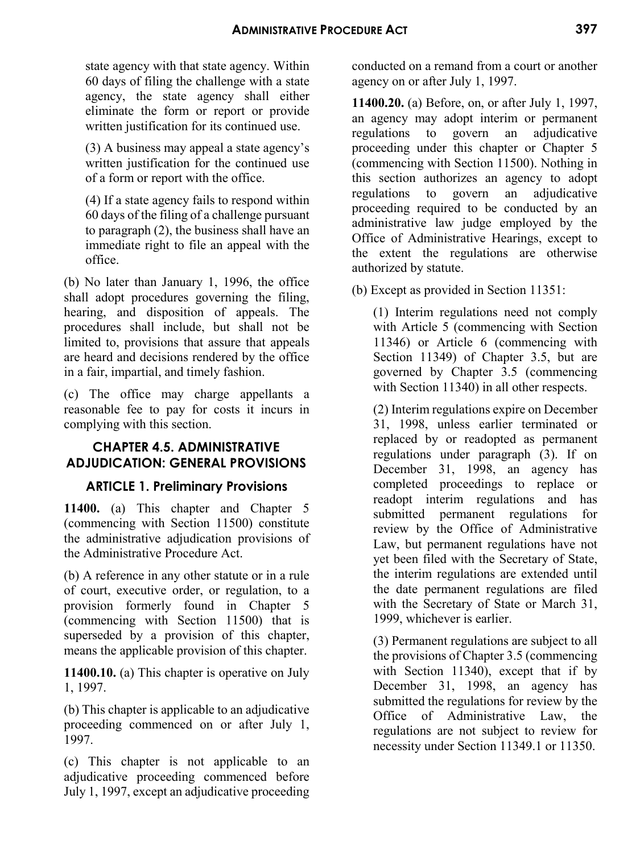state agency with that state agency. Within 60 days of filing the challenge with a state agency, the state agency shall either eliminate the form or report or provide written justification for its continued use.

(3) A business may appeal a state agency's written justification for the continued use of a form or report with the office.

(4) If a state agency fails to respond within 60 days of the filing of a challenge pursuant to paragraph (2), the business shall have an immediate right to file an appeal with the office.

(b) No later than January 1, 1996, the office shall adopt procedures governing the filing, hearing, and disposition of appeals. The procedures shall include, but shall not be limited to, provisions that assure that appeals are heard and decisions rendered by the office in a fair, impartial, and timely fashion.

(c) The office may charge appellants a reasonable fee to pay for costs it incurs in complying with this section.

## **CHAPTER 4.5. ADMINISTRATIVE ADJUDICATION: GENERAL PROVISIONS**

# **ARTICLE 1. Preliminary Provisions**

**11400.** (a) This chapter and Chapter 5 (commencing with Section 11500) constitute the administrative adjudication provisions of the Administrative Procedure Act.

(b) A reference in any other statute or in a rule of court, executive order, or regulation, to a provision formerly found in Chapter 5 (commencing with Section 11500) that is superseded by a provision of this chapter, means the applicable provision of this chapter.

**11400.10.** (a) This chapter is operative on July 1, 1997.

(b) This chapter is applicable to an adjudicative proceeding commenced on or after July 1, 1997.

(c) This chapter is not applicable to an adjudicative proceeding commenced before July 1, 1997, except an adjudicative proceeding conducted on a remand from a court or another agency on or after July 1, 1997.

**11400.20.** (a) Before, on, or after July 1, 1997, an agency may adopt interim or permanent regulations to govern an adjudicative proceeding under this chapter or Chapter 5 (commencing with Section 11500). Nothing in this section authorizes an agency to adopt regulations to govern an adjudicative proceeding required to be conducted by an administrative law judge employed by the Office of Administrative Hearings, except to the extent the regulations are otherwise authorized by statute.

(b) Except as provided in Section 11351:

(1) Interim regulations need not comply with Article 5 (commencing with Section 11346) or Article 6 (commencing with Section 11349) of Chapter 3.5, but are governed by Chapter 3.5 (commencing with Section 11340) in all other respects.

(2) Interim regulations expire on December 31, 1998, unless earlier terminated or replaced by or readopted as permanent regulations under paragraph (3). If on December 31, 1998, an agency has completed proceedings to replace or readopt interim regulations and has submitted permanent regulations for review by the Office of Administrative Law, but permanent regulations have not yet been filed with the Secretary of State, the interim regulations are extended until the date permanent regulations are filed with the Secretary of State or March 31, 1999, whichever is earlier.

(3) Permanent regulations are subject to all the provisions of Chapter 3.5 (commencing with Section 11340), except that if by December 31, 1998, an agency has submitted the regulations for review by the Office of Administrative Law, the regulations are not subject to review for necessity under Section 11349.1 or 11350.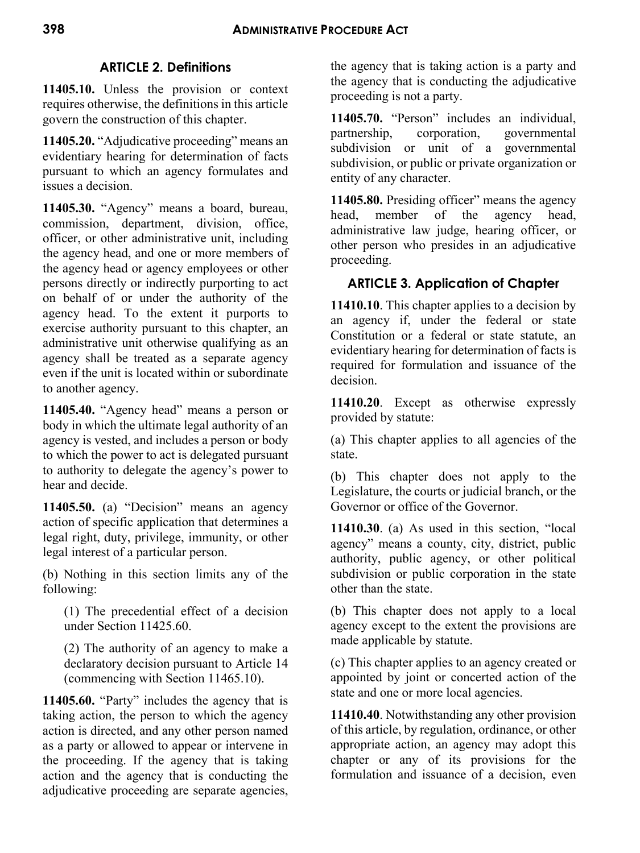# **ARTICLE 2. Definitions**

**11405.10.** Unless the provision or context requires otherwise, the definitions in this article govern the construction of this chapter.

**11405.20.** "Adjudicative proceeding" means an evidentiary hearing for determination of facts pursuant to which an agency formulates and issues a decision.

**11405.30.** "Agency" means a board, bureau, commission, department, division, office, officer, or other administrative unit, including the agency head, and one or more members of the agency head or agency employees or other persons directly or indirectly purporting to act on behalf of or under the authority of the agency head. To the extent it purports to exercise authority pursuant to this chapter, an administrative unit otherwise qualifying as an agency shall be treated as a separate agency even if the unit is located within or subordinate to another agency.

**11405.40.** "Agency head" means a person or body in which the ultimate legal authority of an agency is vested, and includes a person or body to which the power to act is delegated pursuant to authority to delegate the agency's power to hear and decide.

**11405.50.** (a) "Decision" means an agency action of specific application that determines a legal right, duty, privilege, immunity, or other legal interest of a particular person.

(b) Nothing in this section limits any of the following:

(1) The precedential effect of a decision under Section 11425.60.

(2) The authority of an agency to make a declaratory decision pursuant to Article 14 (commencing with Section 11465.10).

**11405.60.** "Party" includes the agency that is taking action, the person to which the agency action is directed, and any other person named as a party or allowed to appear or intervene in the proceeding. If the agency that is taking action and the agency that is conducting the adjudicative proceeding are separate agencies, the agency that is taking action is a party and the agency that is conducting the adjudicative proceeding is not a party.

**11405.70.** "Person" includes an individual, partnership, corporation, governmental subdivision or unit of a governmental subdivision, or public or private organization or entity of any character.

**11405.80.** Presiding officer" means the agency head, member of the agency head, administrative law judge, hearing officer, or other person who presides in an adjudicative proceeding.

# **ARTICLE 3. Application of Chapter**

**11410.10**. This chapter applies to a decision by an agency if, under the federal or state Constitution or a federal or state statute, an evidentiary hearing for determination of facts is required for formulation and issuance of the decision.

**11410.20**. Except as otherwise expressly provided by statute:

(a) This chapter applies to all agencies of the state.

(b) This chapter does not apply to the Legislature, the courts or judicial branch, or the Governor or office of the Governor.

**11410.30**. (a) As used in this section, "local agency" means a county, city, district, public authority, public agency, or other political subdivision or public corporation in the state other than the state.

(b) This chapter does not apply to a local agency except to the extent the provisions are made applicable by statute.

(c) This chapter applies to an agency created or appointed by joint or concerted action of the state and one or more local agencies.

**11410.40**. Notwithstanding any other provision of this article, by regulation, ordinance, or other appropriate action, an agency may adopt this chapter or any of its provisions for the formulation and issuance of a decision, even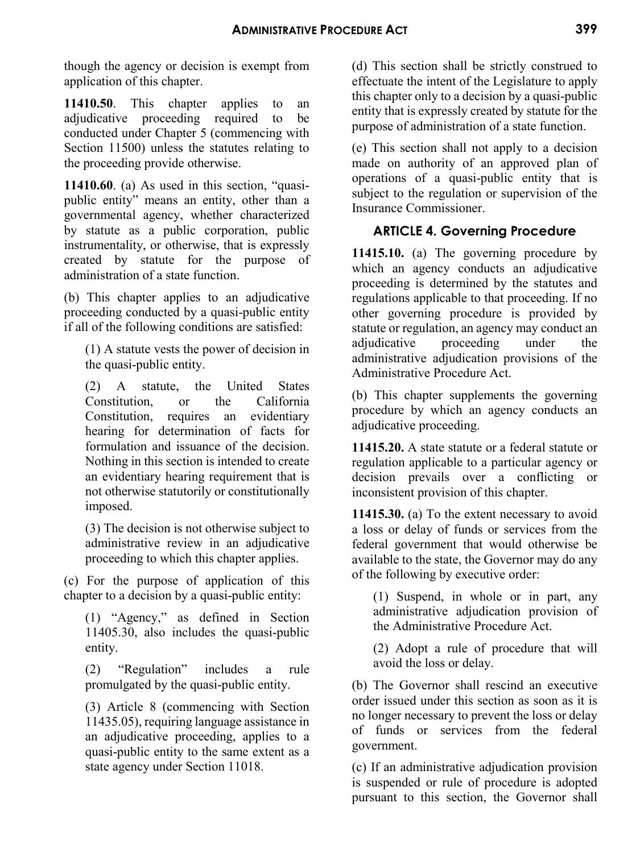though the agency or decision is exempt from application of this chapter.

**11410.50**. This chapter applies to an adjudicative proceeding required to be conducted under Chapter 5 (commencing with Section 11500) unless the statutes relating to the proceeding provide otherwise.

**11410.60**. (a) As used in this section, "quasipublic entity" means an entity, other than a governmental agency, whether characterized by statute as a public corporation, public instrumentality, or otherwise, that is expressly created by statute for the purpose of administration of a state function.

(b) This chapter applies to an adjudicative proceeding conducted by a quasi-public entity if all of the following conditions are satisfied:

(1) A statute vests the power of decision in the quasi-public entity.

(2) A statute, the United States Constitution, or the California Constitution, requires an evidentiary hearing for determination of facts for formulation and issuance of the decision. Nothing in this section is intended to create an evidentiary hearing requirement that is not otherwise statutorily or constitutionally imposed.

(3) The decision is not otherwise subject to administrative review in an adjudicative proceeding to which this chapter applies.

(c) For the purpose of application of this chapter to a decision by a quasi-public entity:

(1) "Agency," as defined in Section 11405.30, also includes the quasi-public entity.

(2) "Regulation" includes a rule promulgated by the quasi-public entity.

(3) Article 8 (commencing with Section 11435.05), requiring language assistance in an adjudicative proceeding, applies to a quasi-public entity to the same extent as a state agency under Section 11018.

(d) This section shall be strictly construed to effectuate the intent of the Legislature to apply this chapter only to a decision by a quasi-public entity that is expressly created by statute for the purpose of administration of a state function.

(e) This section shall not apply to a decision made on authority of an approved plan of operations of a quasi-public entity that is subject to the regulation or supervision of the Insurance Commissioner.

# **ARTICLE 4. Governing Procedure**

**11415.10.** (a) The governing procedure by which an agency conducts an adjudicative proceeding is determined by the statutes and regulations applicable to that proceeding. If no other governing procedure is provided by statute or regulation, an agency may conduct an adjudicative proceeding under the administrative adjudication provisions of the Administrative Procedure Act.

(b) This chapter supplements the governing procedure by which an agency conducts an adjudicative proceeding.

**11415.20.** A state statute or a federal statute or regulation applicable to a particular agency or decision prevails over a conflicting or inconsistent provision of this chapter.

**11415.30.** (a) To the extent necessary to avoid a loss or delay of funds or services from the federal government that would otherwise be available to the state, the Governor may do any of the following by executive order:

(1) Suspend, in whole or in part, any administrative adjudication provision of the Administrative Procedure Act.

(2) Adopt a rule of procedure that will avoid the loss or delay.

(b) The Governor shall rescind an executive order issued under this section as soon as it is no longer necessary to prevent the loss or delay of funds or services from the federal government.

(c) If an administrative adjudication provision is suspended or rule of procedure is adopted pursuant to this section, the Governor shall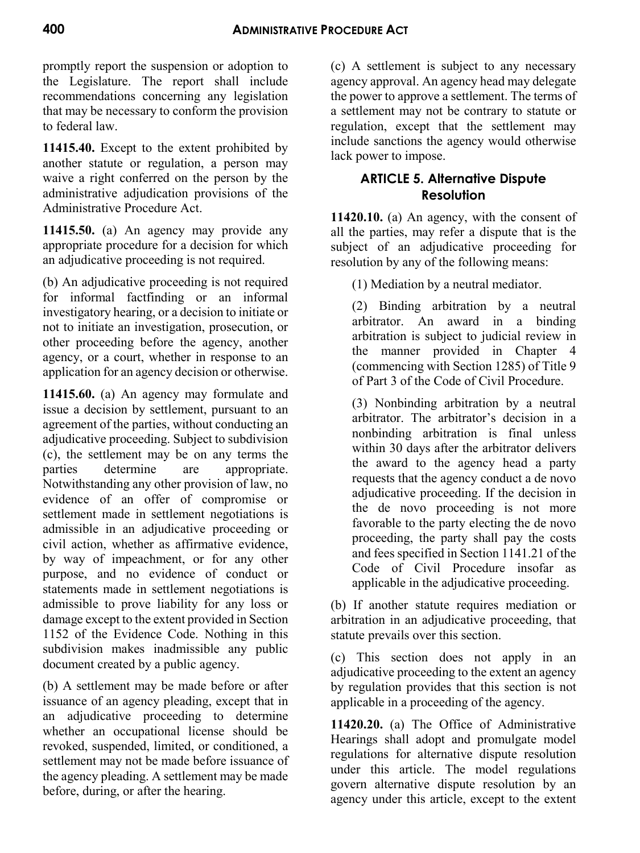promptly report the suspension or adoption to the Legislature. The report shall include recommendations concerning any legislation that may be necessary to conform the provision to federal law.

**11415.40.** Except to the extent prohibited by another statute or regulation, a person may waive a right conferred on the person by the administrative adjudication provisions of the Administrative Procedure Act.

**11415.50.** (a) An agency may provide any appropriate procedure for a decision for which an adjudicative proceeding is not required.

(b) An adjudicative proceeding is not required for informal factfinding or an informal investigatory hearing, or a decision to initiate or not to initiate an investigation, prosecution, or other proceeding before the agency, another agency, or a court, whether in response to an application for an agency decision or otherwise.

**11415.60.** (a) An agency may formulate and issue a decision by settlement, pursuant to an agreement of the parties, without conducting an adjudicative proceeding. Subject to subdivision (c), the settlement may be on any terms the parties determine are appropriate. Notwithstanding any other provision of law, no evidence of an offer of compromise or settlement made in settlement negotiations is admissible in an adjudicative proceeding or civil action, whether as affirmative evidence, by way of impeachment, or for any other purpose, and no evidence of conduct or statements made in settlement negotiations is admissible to prove liability for any loss or damage except to the extent provided in Section 1152 of the Evidence Code. Nothing in this subdivision makes inadmissible any public document created by a public agency.

(b) A settlement may be made before or after issuance of an agency pleading, except that in an adjudicative proceeding to determine whether an occupational license should be revoked, suspended, limited, or conditioned, a settlement may not be made before issuance of the agency pleading. A settlement may be made before, during, or after the hearing.

(c) A settlement is subject to any necessary agency approval. An agency head may delegate the power to approve a settlement. The terms of a settlement may not be contrary to statute or regulation, except that the settlement may include sanctions the agency would otherwise lack power to impose.

# **ARTICLE 5. Alternative Dispute Resolution**

**11420.10.** (a) An agency, with the consent of all the parties, may refer a dispute that is the subject of an adjudicative proceeding for resolution by any of the following means:

(1) Mediation by a neutral mediator.

(2) Binding arbitration by a neutral arbitrator. An award in a binding arbitration is subject to judicial review in the manner provided in Chapter 4 (commencing with Section 1285) of Title 9 of Part 3 of the Code of Civil Procedure.

(3) Nonbinding arbitration by a neutral arbitrator. The arbitrator's decision in a nonbinding arbitration is final unless within 30 days after the arbitrator delivers the award to the agency head a party requests that the agency conduct a de novo adjudicative proceeding. If the decision in the de novo proceeding is not more favorable to the party electing the de novo proceeding, the party shall pay the costs and fees specified in Section 1141.21 of the Code of Civil Procedure insofar as applicable in the adjudicative proceeding.

(b) If another statute requires mediation or arbitration in an adjudicative proceeding, that statute prevails over this section.

(c) This section does not apply in an adjudicative proceeding to the extent an agency by regulation provides that this section is not applicable in a proceeding of the agency.

**11420.20.** (a) The Office of Administrative Hearings shall adopt and promulgate model regulations for alternative dispute resolution under this article. The model regulations govern alternative dispute resolution by an agency under this article, except to the extent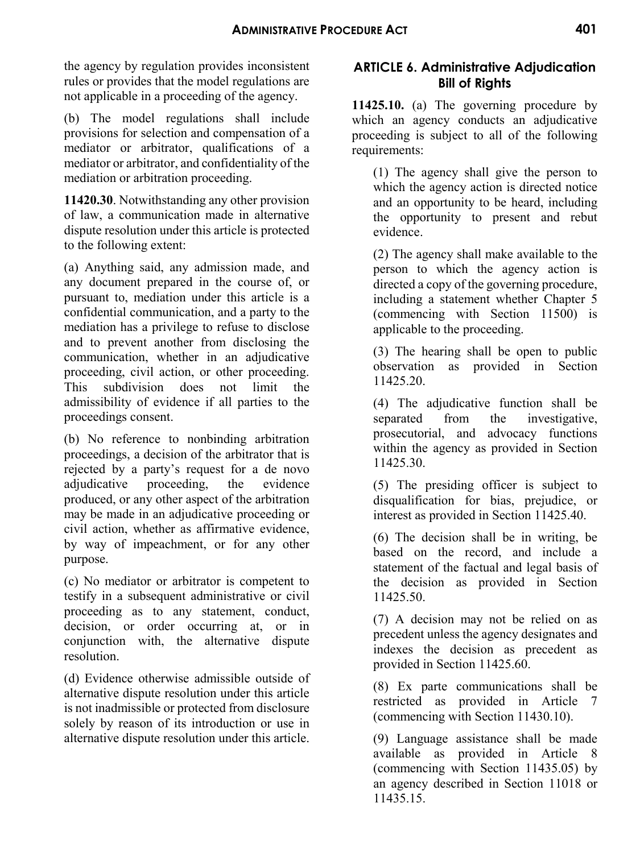the agency by regulation provides inconsistent rules or provides that the model regulations are not applicable in a proceeding of the agency.

(b) The model regulations shall include provisions for selection and compensation of a mediator or arbitrator, qualifications of a mediator or arbitrator, and confidentiality of the mediation or arbitration proceeding.

**11420.30**. Notwithstanding any other provision of law, a communication made in alternative dispute resolution under this article is protected to the following extent:

(a) Anything said, any admission made, and any document prepared in the course of, or pursuant to, mediation under this article is a confidential communication, and a party to the mediation has a privilege to refuse to disclose and to prevent another from disclosing the communication, whether in an adjudicative proceeding, civil action, or other proceeding. This subdivision does not limit the admissibility of evidence if all parties to the proceedings consent.

(b) No reference to nonbinding arbitration proceedings, a decision of the arbitrator that is rejected by a party's request for a de novo adjudicative proceeding, the evidence produced, or any other aspect of the arbitration may be made in an adjudicative proceeding or civil action, whether as affirmative evidence, by way of impeachment, or for any other purpose.

(c) No mediator or arbitrator is competent to testify in a subsequent administrative or civil proceeding as to any statement, conduct, decision, or order occurring at, or in conjunction with, the alternative dispute resolution.

(d) Evidence otherwise admissible outside of alternative dispute resolution under this article is not inadmissible or protected from disclosure solely by reason of its introduction or use in alternative dispute resolution under this article.

# **ARTICLE 6. Administrative Adjudication Bill of Rights**

**11425.10.** (a) The governing procedure by which an agency conducts an adjudicative proceeding is subject to all of the following requirements:

(1) The agency shall give the person to which the agency action is directed notice and an opportunity to be heard, including the opportunity to present and rebut evidence.

(2) The agency shall make available to the person to which the agency action is directed a copy of the governing procedure, including a statement whether Chapter 5 (commencing with Section 11500) is applicable to the proceeding.

(3) The hearing shall be open to public observation as provided in Section 11425.20.

(4) The adjudicative function shall be separated from the investigative, prosecutorial, and advocacy functions within the agency as provided in Section 11425.30.

(5) The presiding officer is subject to disqualification for bias, prejudice, or interest as provided in Section 11425.40.

(6) The decision shall be in writing, be based on the record, and include a statement of the factual and legal basis of the decision as provided in Section 11425.50.

(7) A decision may not be relied on as precedent unless the agency designates and indexes the decision as precedent as provided in Section 11425.60.

(8) Ex parte communications shall be restricted as provided in Article 7 (commencing with Section 11430.10).

(9) Language assistance shall be made available as provided in Article 8 (commencing with Section 11435.05) by an agency described in Section 11018 or 11435.15.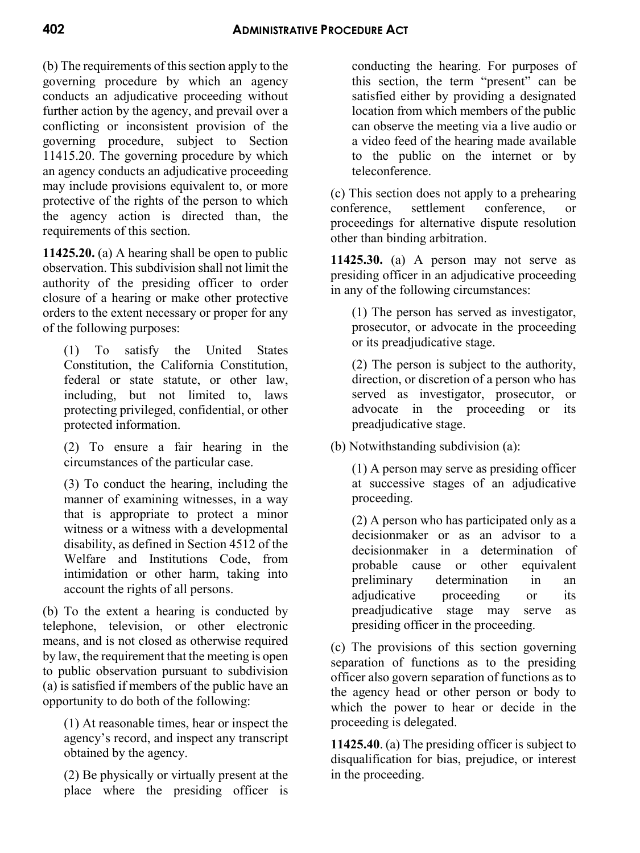(b) The requirements of this section apply to the governing procedure by which an agency conducts an adjudicative proceeding without further action by the agency, and prevail over a conflicting or inconsistent provision of the governing procedure, subject to Section 11415.20. The governing procedure by which an agency conducts an adjudicative proceeding may include provisions equivalent to, or more protective of the rights of the person to which the agency action is directed than, the requirements of this section.

**11425.20.** (a) A hearing shall be open to public observation. This subdivision shall not limit the authority of the presiding officer to order closure of a hearing or make other protective orders to the extent necessary or proper for any of the following purposes:

(1) To satisfy the United States Constitution, the California Constitution, federal or state statute, or other law, including, but not limited to, laws protecting privileged, confidential, or other protected information.

(2) To ensure a fair hearing in the circumstances of the particular case.

(3) To conduct the hearing, including the manner of examining witnesses, in a way that is appropriate to protect a minor witness or a witness with a developmental disability, as defined in Section 4512 of the Welfare and Institutions Code, from intimidation or other harm, taking into account the rights of all persons.

(b) To the extent a hearing is conducted by telephone, television, or other electronic means, and is not closed as otherwise required by law, the requirement that the meeting is open to public observation pursuant to subdivision (a) is satisfied if members of the public have an opportunity to do both of the following:

(1) At reasonable times, hear or inspect the agency's record, and inspect any transcript obtained by the agency.

(2) Be physically or virtually present at the place where the presiding officer is

conducting the hearing. For purposes of this section, the term "present" can be satisfied either by providing a designated location from which members of the public can observe the meeting via a live audio or a video feed of the hearing made available to the public on the internet or by teleconference.

(c) This section does not apply to a prehearing conference, settlement conference, or proceedings for alternative dispute resolution other than binding arbitration.

**11425.30.** (a) A person may not serve as presiding officer in an adjudicative proceeding in any of the following circumstances:

(1) The person has served as investigator, prosecutor, or advocate in the proceeding or its preadjudicative stage.

(2) The person is subject to the authority, direction, or discretion of a person who has served as investigator, prosecutor, or advocate in the proceeding or its preadjudicative stage.

(b) Notwithstanding subdivision (a):

(1) A person may serve as presiding officer at successive stages of an adjudicative proceeding.

(2) A person who has participated only as a decisionmaker or as an advisor to a decisionmaker in a determination of probable cause or other equivalent preliminary determination in an adjudicative proceeding or its preadjudicative stage may serve as presiding officer in the proceeding.

(c) The provisions of this section governing separation of functions as to the presiding officer also govern separation of functions as to the agency head or other person or body to which the power to hear or decide in the proceeding is delegated.

**11425.40**. (a) The presiding officer is subject to disqualification for bias, prejudice, or interest in the proceeding.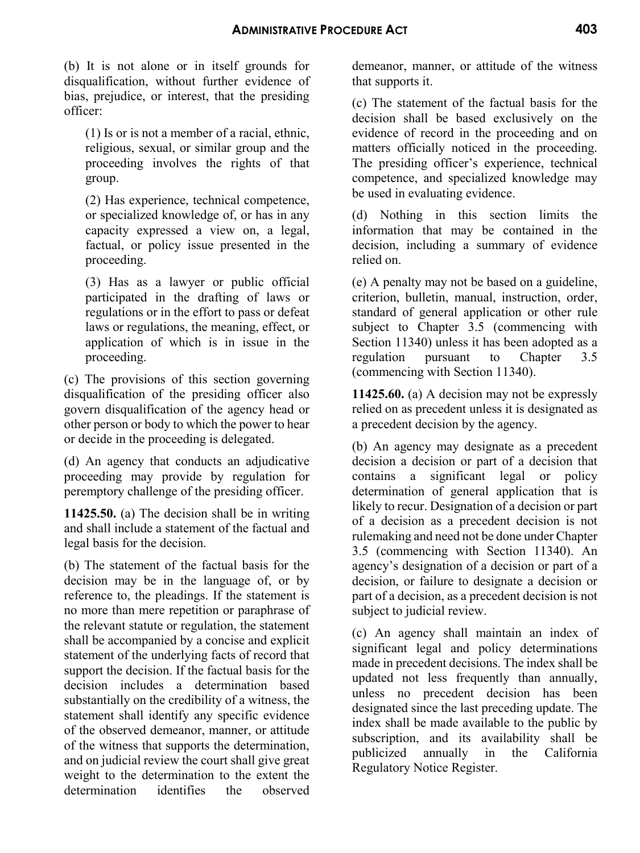(b) It is not alone or in itself grounds for disqualification, without further evidence of bias, prejudice, or interest, that the presiding officer:

(1) Is or is not a member of a racial, ethnic, religious, sexual, or similar group and the proceeding involves the rights of that group.

(2) Has experience, technical competence, or specialized knowledge of, or has in any capacity expressed a view on, a legal, factual, or policy issue presented in the proceeding.

(3) Has as a lawyer or public official participated in the drafting of laws or regulations or in the effort to pass or defeat laws or regulations, the meaning, effect, or application of which is in issue in the proceeding.

(c) The provisions of this section governing disqualification of the presiding officer also govern disqualification of the agency head or other person or body to which the power to hear or decide in the proceeding is delegated.

(d) An agency that conducts an adjudicative proceeding may provide by regulation for peremptory challenge of the presiding officer.

**11425.50.** (a) The decision shall be in writing and shall include a statement of the factual and legal basis for the decision.

(b) The statement of the factual basis for the decision may be in the language of, or by reference to, the pleadings. If the statement is no more than mere repetition or paraphrase of the relevant statute or regulation, the statement shall be accompanied by a concise and explicit statement of the underlying facts of record that support the decision. If the factual basis for the decision includes a determination based substantially on the credibility of a witness, the statement shall identify any specific evidence of the observed demeanor, manner, or attitude of the witness that supports the determination, and on judicial review the court shall give great weight to the determination to the extent the determination identifies the observed

demeanor, manner, or attitude of the witness that supports it.

(c) The statement of the factual basis for the decision shall be based exclusively on the evidence of record in the proceeding and on matters officially noticed in the proceeding. The presiding officer's experience, technical competence, and specialized knowledge may be used in evaluating evidence.

(d) Nothing in this section limits the information that may be contained in the decision, including a summary of evidence relied on.

(e) A penalty may not be based on a guideline, criterion, bulletin, manual, instruction, order, standard of general application or other rule subject to Chapter 3.5 (commencing with Section 11340) unless it has been adopted as a regulation pursuant to Chapter 3.5 (commencing with Section 11340).

**11425.60.** (a) A decision may not be expressly relied on as precedent unless it is designated as a precedent decision by the agency.

(b) An agency may designate as a precedent decision a decision or part of a decision that contains a significant legal or policy determination of general application that is likely to recur. Designation of a decision or part of a decision as a precedent decision is not rulemaking and need not be done under Chapter 3.5 (commencing with Section 11340). An agency's designation of a decision or part of a decision, or failure to designate a decision or part of a decision, as a precedent decision is not subject to judicial review.

(c) An agency shall maintain an index of significant legal and policy determinations made in precedent decisions. The index shall be updated not less frequently than annually, unless no precedent decision has been designated since the last preceding update. The index shall be made available to the public by subscription, and its availability shall be publicized annually in the California Regulatory Notice Register.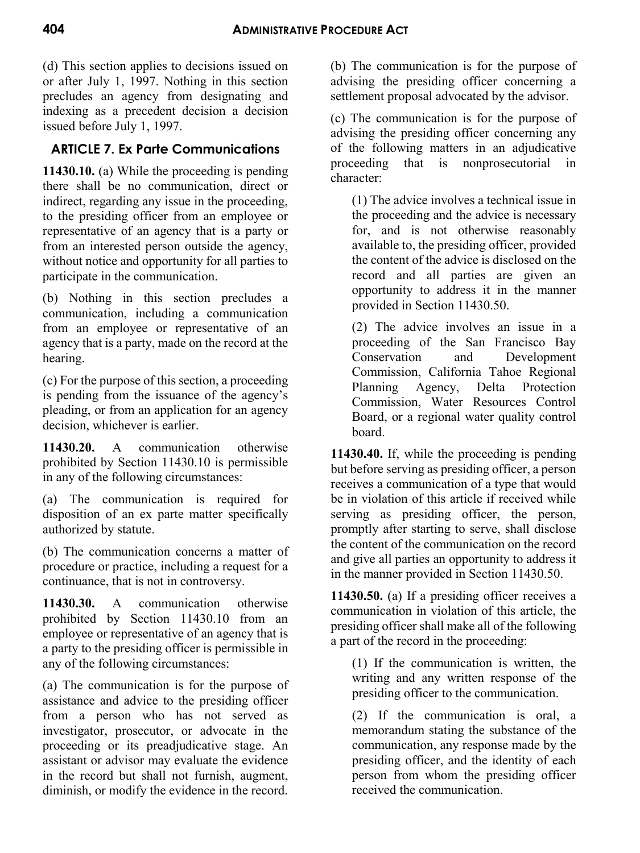(d) This section applies to decisions issued on or after July 1, 1997. Nothing in this section precludes an agency from designating and indexing as a precedent decision a decision issued before July 1, 1997.

# **ARTICLE 7. Ex Parte Communications**

**11430.10.** (a) While the proceeding is pending there shall be no communication, direct or indirect, regarding any issue in the proceeding, to the presiding officer from an employee or representative of an agency that is a party or from an interested person outside the agency, without notice and opportunity for all parties to participate in the communication.

(b) Nothing in this section precludes a communication, including a communication from an employee or representative of an agency that is a party, made on the record at the hearing.

(c) For the purpose of this section, a proceeding is pending from the issuance of the agency's pleading, or from an application for an agency decision, whichever is earlier.

**11430.20.** A communication otherwise prohibited by Section 11430.10 is permissible in any of the following circumstances:

(a) The communication is required for disposition of an ex parte matter specifically authorized by statute.

(b) The communication concerns a matter of procedure or practice, including a request for a continuance, that is not in controversy.

**11430.30.** A communication otherwise prohibited by Section 11430.10 from an employee or representative of an agency that is a party to the presiding officer is permissible in any of the following circumstances:

(a) The communication is for the purpose of assistance and advice to the presiding officer from a person who has not served as investigator, prosecutor, or advocate in the proceeding or its preadjudicative stage. An assistant or advisor may evaluate the evidence in the record but shall not furnish, augment, diminish, or modify the evidence in the record.

(b) The communication is for the purpose of advising the presiding officer concerning a settlement proposal advocated by the advisor.

(c) The communication is for the purpose of advising the presiding officer concerning any of the following matters in an adjudicative proceeding that is nonprosecutorial in character:

(1) The advice involves a technical issue in the proceeding and the advice is necessary for, and is not otherwise reasonably available to, the presiding officer, provided the content of the advice is disclosed on the record and all parties are given an opportunity to address it in the manner provided in Section 11430.50.

(2) The advice involves an issue in a proceeding of the San Francisco Bay Conservation and Development Commission, California Tahoe Regional Planning Agency, Delta Protection Commission, Water Resources Control Board, or a regional water quality control board.

**11430.40.** If, while the proceeding is pending but before serving as presiding officer, a person receives a communication of a type that would be in violation of this article if received while serving as presiding officer, the person, promptly after starting to serve, shall disclose the content of the communication on the record and give all parties an opportunity to address it in the manner provided in Section 11430.50.

**11430.50.** (a) If a presiding officer receives a communication in violation of this article, the presiding officer shall make all of the following a part of the record in the proceeding:

(1) If the communication is written, the writing and any written response of the presiding officer to the communication.

(2) If the communication is oral, a memorandum stating the substance of the communication, any response made by the presiding officer, and the identity of each person from whom the presiding officer received the communication.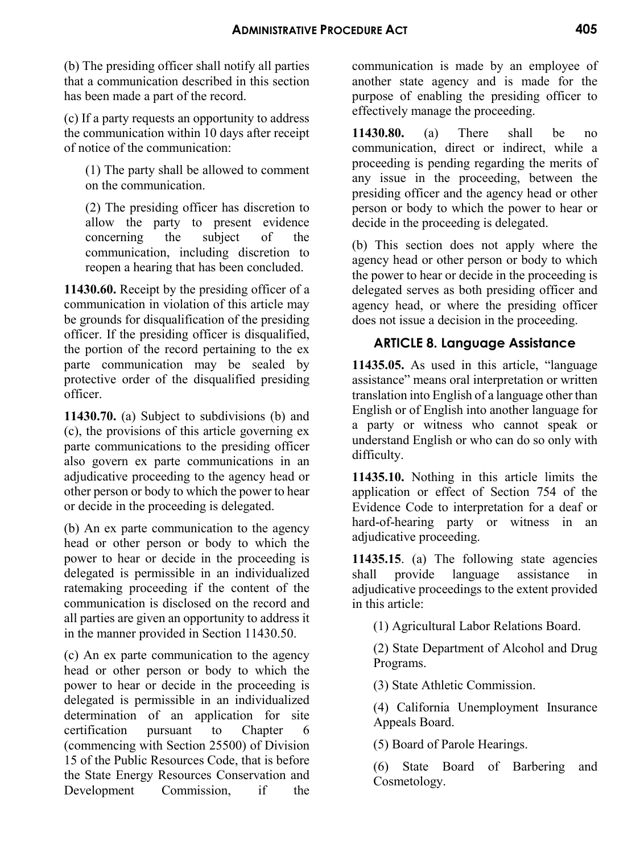(b) The presiding officer shall notify all parties that a communication described in this section has been made a part of the record.

(c) If a party requests an opportunity to address the communication within 10 days after receipt of notice of the communication:

(1) The party shall be allowed to comment on the communication.

(2) The presiding officer has discretion to allow the party to present evidence concerning the subject of the communication, including discretion to reopen a hearing that has been concluded.

**11430.60.** Receipt by the presiding officer of a communication in violation of this article may be grounds for disqualification of the presiding officer. If the presiding officer is disqualified, the portion of the record pertaining to the ex parte communication may be sealed by protective order of the disqualified presiding officer.

**11430.70.** (a) Subject to subdivisions (b) and (c), the provisions of this article governing ex parte communications to the presiding officer also govern ex parte communications in an adjudicative proceeding to the agency head or other person or body to which the power to hear or decide in the proceeding is delegated.

(b) An ex parte communication to the agency head or other person or body to which the power to hear or decide in the proceeding is delegated is permissible in an individualized ratemaking proceeding if the content of the communication is disclosed on the record and all parties are given an opportunity to address it in the manner provided in Section 11430.50.

(c) An ex parte communication to the agency head or other person or body to which the power to hear or decide in the proceeding is delegated is permissible in an individualized determination of an application for site certification pursuant to Chapter 6 (commencing with Section 25500) of Division 15 of the Public Resources Code, that is before the State Energy Resources Conservation and Development Commission, if the

communication is made by an employee of another state agency and is made for the purpose of enabling the presiding officer to effectively manage the proceeding.

**11430.80.** (a) There shall be no communication, direct or indirect, while a proceeding is pending regarding the merits of any issue in the proceeding, between the presiding officer and the agency head or other person or body to which the power to hear or decide in the proceeding is delegated.

(b) This section does not apply where the agency head or other person or body to which the power to hear or decide in the proceeding is delegated serves as both presiding officer and agency head, or where the presiding officer does not issue a decision in the proceeding.

# **ARTICLE 8. Language Assistance**

**11435.05.** As used in this article, "language assistance" means oral interpretation or written translation into English of a language other than English or of English into another language for a party or witness who cannot speak or understand English or who can do so only with difficulty.

**11435.10.** Nothing in this article limits the application or effect of Section 754 of the Evidence Code to interpretation for a deaf or hard-of-hearing party or witness in an adjudicative proceeding.

**11435.15**. (a) The following state agencies shall provide language assistance in adjudicative proceedings to the extent provided in this article:

(1) Agricultural Labor Relations Board.

(2) State Department of Alcohol and Drug Programs.

(3) State Athletic Commission.

(4) California Unemployment Insurance Appeals Board.

(5) Board of Parole Hearings.

(6) State Board of Barbering and Cosmetology.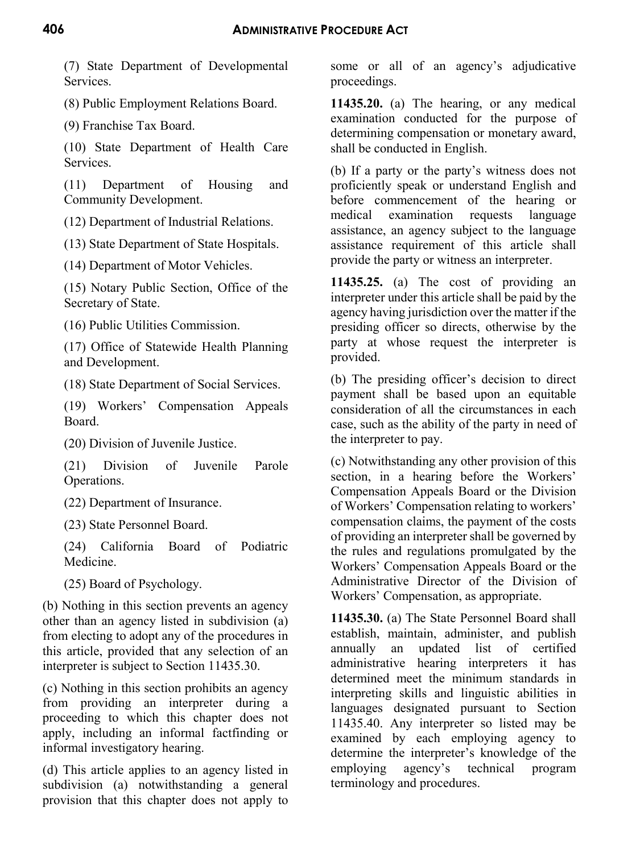(7) State Department of Developmental Services.

(8) Public Employment Relations Board.

(9) Franchise Tax Board.

(10) State Department of Health Care Services.

(11) Department of Housing and Community Development.

(12) Department of Industrial Relations.

(13) State Department of State Hospitals.

(14) Department of Motor Vehicles.

(15) Notary Public Section, Office of the Secretary of State.

(16) Public Utilities Commission.

(17) Office of Statewide Health Planning and Development.

(18) State Department of Social Services.

(19) Workers' Compensation Appeals Board.

(20) Division of Juvenile Justice.

(21) Division of Juvenile Parole Operations.

(22) Department of Insurance.

(23) State Personnel Board.

(24) California Board of Podiatric Medicine.

(25) Board of Psychology.

(b) Nothing in this section prevents an agency other than an agency listed in subdivision (a) from electing to adopt any of the procedures in this article, provided that any selection of an interpreter is subject to Section 11435.30.

(c) Nothing in this section prohibits an agency from providing an interpreter during a proceeding to which this chapter does not apply, including an informal factfinding or informal investigatory hearing.

(d) This article applies to an agency listed in subdivision (a) notwithstanding a general provision that this chapter does not apply to

some or all of an agency's adjudicative proceedings.

**11435.20.** (a) The hearing, or any medical examination conducted for the purpose of determining compensation or monetary award, shall be conducted in English.

(b) If a party or the party's witness does not proficiently speak or understand English and before commencement of the hearing or medical examination requests language assistance, an agency subject to the language assistance requirement of this article shall provide the party or witness an interpreter.

**11435.25.** (a) The cost of providing an interpreter under this article shall be paid by the agency having jurisdiction over the matter if the presiding officer so directs, otherwise by the party at whose request the interpreter is provided.

(b) The presiding officer's decision to direct payment shall be based upon an equitable consideration of all the circumstances in each case, such as the ability of the party in need of the interpreter to pay.

(c) Notwithstanding any other provision of this section, in a hearing before the Workers' Compensation Appeals Board or the Division of Workers' Compensation relating to workers' compensation claims, the payment of the costs of providing an interpreter shall be governed by the rules and regulations promulgated by the Workers' Compensation Appeals Board or the Administrative Director of the Division of Workers' Compensation, as appropriate.

**11435.30.** (a) The State Personnel Board shall establish, maintain, administer, and publish annually an updated list of certified administrative hearing interpreters it has determined meet the minimum standards in interpreting skills and linguistic abilities in languages designated pursuant to Section 11435.40. Any interpreter so listed may be examined by each employing agency to determine the interpreter's knowledge of the employing agency's technical program terminology and procedures.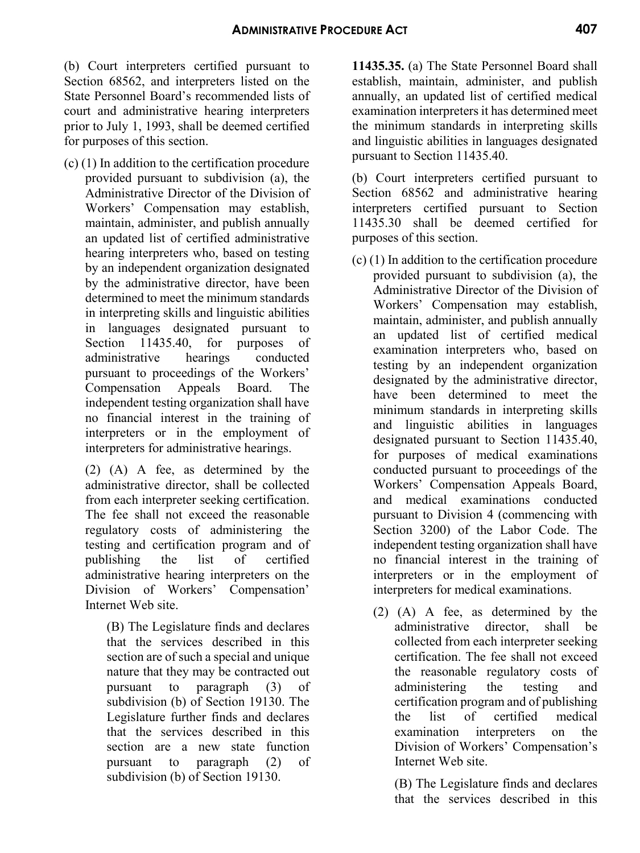(b) Court interpreters certified pursuant to Section 68562, and interpreters listed on the State Personnel Board's recommended lists of court and administrative hearing interpreters prior to July 1, 1993, shall be deemed certified for purposes of this section.

(c) (1) In addition to the certification procedure provided pursuant to subdivision (a), the Administrative Director of the Division of Workers' Compensation may establish, maintain, administer, and publish annually an updated list of certified administrative hearing interpreters who, based on testing by an independent organization designated by the administrative director, have been determined to meet the minimum standards in interpreting skills and linguistic abilities in languages designated pursuant to Section 11435.40, for purposes of administrative hearings conducted pursuant to proceedings of the Workers' Compensation Appeals Board. The independent testing organization shall have no financial interest in the training of interpreters or in the employment of interpreters for administrative hearings.

(2) (A) A fee, as determined by the administrative director, shall be collected from each interpreter seeking certification. The fee shall not exceed the reasonable regulatory costs of administering the testing and certification program and of publishing the list of certified administrative hearing interpreters on the Division of Workers' Compensation' Internet Web site.

(B) The Legislature finds and declares that the services described in this section are of such a special and unique nature that they may be contracted out pursuant to paragraph (3) of subdivision (b) of Section 19130. The Legislature further finds and declares that the services described in this section are a new state function pursuant to paragraph (2) of subdivision (b) of Section 19130.

**11435.35.** (a) The State Personnel Board shall establish, maintain, administer, and publish annually, an updated list of certified medical examination interpreters it has determined meet the minimum standards in interpreting skills and linguistic abilities in languages designated pursuant to Section 11435.40.

(b) Court interpreters certified pursuant to Section 68562 and administrative hearing interpreters certified pursuant to Section 11435.30 shall be deemed certified for purposes of this section.

- (c) (1) In addition to the certification procedure provided pursuant to subdivision (a), the Administrative Director of the Division of Workers' Compensation may establish, maintain, administer, and publish annually an updated list of certified medical examination interpreters who, based on testing by an independent organization designated by the administrative director, have been determined to meet the minimum standards in interpreting skills and linguistic abilities in languages designated pursuant to Section 11435.40, for purposes of medical examinations conducted pursuant to proceedings of the Workers' Compensation Appeals Board, and medical examinations conducted pursuant to Division 4 (commencing with Section 3200) of the Labor Code. The independent testing organization shall have no financial interest in the training of interpreters or in the employment of interpreters for medical examinations.
	- (2) (A) A fee, as determined by the administrative director, shall be collected from each interpreter seeking certification. The fee shall not exceed the reasonable regulatory costs of administering the testing and certification program and of publishing the list of certified medical examination interpreters on the Division of Workers' Compensation's Internet Web site.

(B) The Legislature finds and declares that the services described in this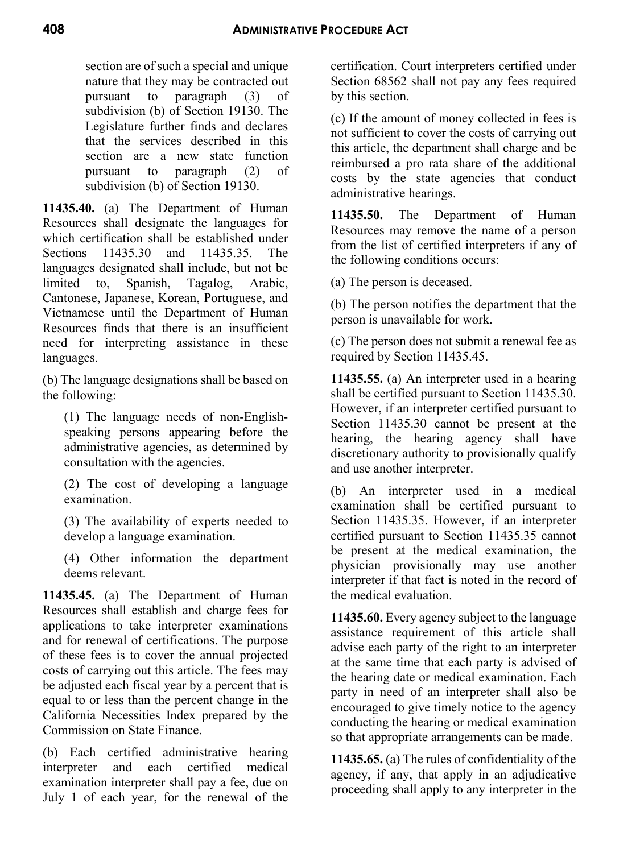section are of such a special and unique nature that they may be contracted out pursuant to paragraph (3) of subdivision (b) of Section 19130. The Legislature further finds and declares that the services described in this section are a new state function pursuant to paragraph (2) of subdivision (b) of Section 19130.

**11435.40.** (a) The Department of Human Resources shall designate the languages for which certification shall be established under Sections 11435.30 and 11435.35. The languages designated shall include, but not be limited to, Spanish, Tagalog, Arabic, Cantonese, Japanese, Korean, Portuguese, and Vietnamese until the Department of Human Resources finds that there is an insufficient need for interpreting assistance in these languages.

(b) The language designations shall be based on the following:

(1) The language needs of non-Englishspeaking persons appearing before the administrative agencies, as determined by consultation with the agencies.

(2) The cost of developing a language examination.

(3) The availability of experts needed to develop a language examination.

(4) Other information the department deems relevant.

**11435.45.** (a) The Department of Human Resources shall establish and charge fees for applications to take interpreter examinations and for renewal of certifications. The purpose of these fees is to cover the annual projected costs of carrying out this article. The fees may be adjusted each fiscal year by a percent that is equal to or less than the percent change in the California Necessities Index prepared by the Commission on State Finance.

(b) Each certified administrative hearing interpreter and each certified medical examination interpreter shall pay a fee, due on July 1 of each year, for the renewal of the certification. Court interpreters certified under Section 68562 shall not pay any fees required by this section.

(c) If the amount of money collected in fees is not sufficient to cover the costs of carrying out this article, the department shall charge and be reimbursed a pro rata share of the additional costs by the state agencies that conduct administrative hearings.

**11435.50.** The Department of Human Resources may remove the name of a person from the list of certified interpreters if any of the following conditions occurs:

(a) The person is deceased.

(b) The person notifies the department that the person is unavailable for work.

(c) The person does not submit a renewal fee as required by Section 11435.45.

**11435.55.** (a) An interpreter used in a hearing shall be certified pursuant to Section 11435.30. However, if an interpreter certified pursuant to Section 11435.30 cannot be present at the hearing, the hearing agency shall have discretionary authority to provisionally qualify and use another interpreter.

(b) An interpreter used in a medical examination shall be certified pursuant to Section 11435.35. However, if an interpreter certified pursuant to Section 11435.35 cannot be present at the medical examination, the physician provisionally may use another interpreter if that fact is noted in the record of the medical evaluation.

**11435.60.** Every agency subject to the language assistance requirement of this article shall advise each party of the right to an interpreter at the same time that each party is advised of the hearing date or medical examination. Each party in need of an interpreter shall also be encouraged to give timely notice to the agency conducting the hearing or medical examination so that appropriate arrangements can be made.

**11435.65.** (a) The rules of confidentiality of the agency, if any, that apply in an adjudicative proceeding shall apply to any interpreter in the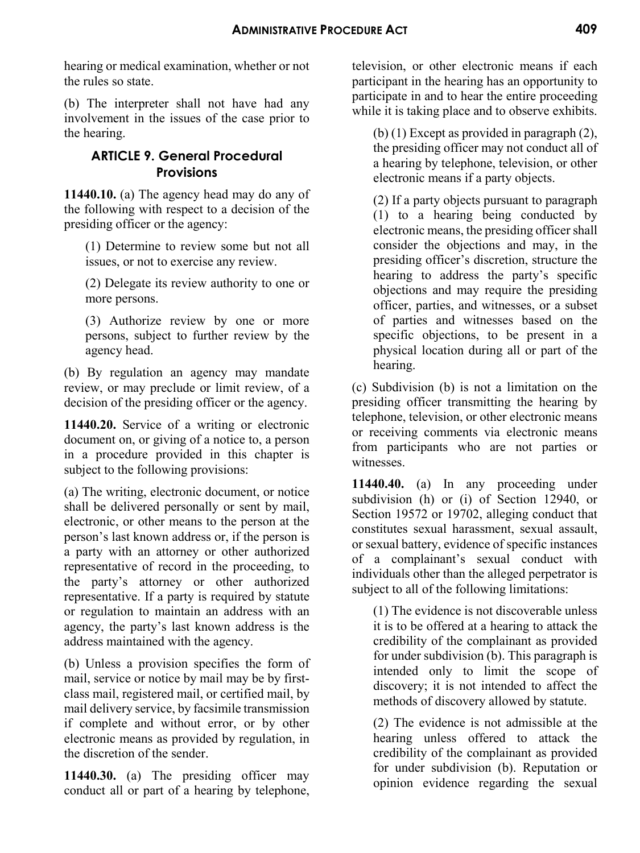hearing or medical examination, whether or not the rules so state.

(b) The interpreter shall not have had any involvement in the issues of the case prior to the hearing.

## **ARTICLE 9. General Procedural Provisions**

**11440.10.** (a) The agency head may do any of the following with respect to a decision of the presiding officer or the agency:

(1) Determine to review some but not all issues, or not to exercise any review.

(2) Delegate its review authority to one or more persons.

(3) Authorize review by one or more persons, subject to further review by the agency head.

(b) By regulation an agency may mandate review, or may preclude or limit review, of a decision of the presiding officer or the agency.

**11440.20.** Service of a writing or electronic document on, or giving of a notice to, a person in a procedure provided in this chapter is subject to the following provisions:

(a) The writing, electronic document, or notice shall be delivered personally or sent by mail, electronic, or other means to the person at the person's last known address or, if the person is a party with an attorney or other authorized representative of record in the proceeding, to the party's attorney or other authorized representative. If a party is required by statute or regulation to maintain an address with an agency, the party's last known address is the address maintained with the agency.

(b) Unless a provision specifies the form of mail, service or notice by mail may be by firstclass mail, registered mail, or certified mail, by mail delivery service, by facsimile transmission if complete and without error, or by other electronic means as provided by regulation, in the discretion of the sender.

**11440.30.** (a) The presiding officer may conduct all or part of a hearing by telephone, television, or other electronic means if each participant in the hearing has an opportunity to participate in and to hear the entire proceeding while it is taking place and to observe exhibits.

(b) (1) Except as provided in paragraph (2), the presiding officer may not conduct all of a hearing by telephone, television, or other electronic means if a party objects.

(2) If a party objects pursuant to paragraph (1) to a hearing being conducted by electronic means, the presiding officer shall consider the objections and may, in the presiding officer's discretion, structure the hearing to address the party's specific objections and may require the presiding officer, parties, and witnesses, or a subset of parties and witnesses based on the specific objections, to be present in a physical location during all or part of the hearing.

(c) Subdivision (b) is not a limitation on the presiding officer transmitting the hearing by telephone, television, or other electronic means or receiving comments via electronic means from participants who are not parties or witnesses.

**11440.40.** (a) In any proceeding under subdivision (h) or (i) of Section 12940, or Section 19572 or 19702, alleging conduct that constitutes sexual harassment, sexual assault, or sexual battery, evidence of specific instances of a complainant's sexual conduct with individuals other than the alleged perpetrator is subject to all of the following limitations:

(1) The evidence is not discoverable unless it is to be offered at a hearing to attack the credibility of the complainant as provided for under subdivision (b). This paragraph is intended only to limit the scope of discovery; it is not intended to affect the methods of discovery allowed by statute.

(2) The evidence is not admissible at the hearing unless offered to attack the credibility of the complainant as provided for under subdivision (b). Reputation or opinion evidence regarding the sexual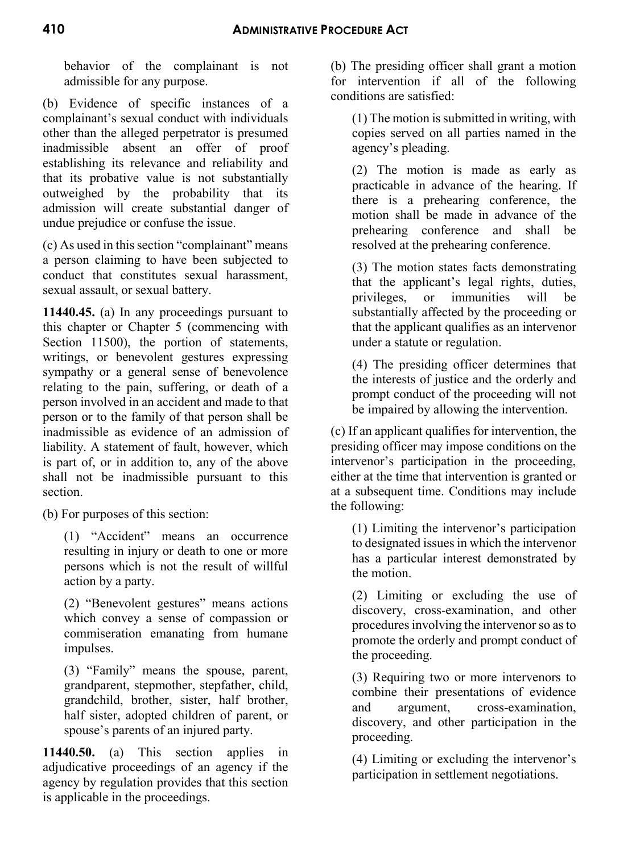behavior of the complainant is not admissible for any purpose.

(b) Evidence of specific instances of a complainant's sexual conduct with individuals other than the alleged perpetrator is presumed inadmissible absent an offer of proof establishing its relevance and reliability and that its probative value is not substantially outweighed by the probability that its admission will create substantial danger of undue prejudice or confuse the issue.

(c) As used in this section "complainant" means a person claiming to have been subjected to conduct that constitutes sexual harassment, sexual assault, or sexual battery.

**11440.45.** (a) In any proceedings pursuant to this chapter or Chapter 5 (commencing with Section 11500), the portion of statements, writings, or benevolent gestures expressing sympathy or a general sense of benevolence relating to the pain, suffering, or death of a person involved in an accident and made to that person or to the family of that person shall be inadmissible as evidence of an admission of liability. A statement of fault, however, which is part of, or in addition to, any of the above shall not be inadmissible pursuant to this section.

(b) For purposes of this section:

(1) "Accident" means an occurrence resulting in injury or death to one or more persons which is not the result of willful action by a party.

(2) "Benevolent gestures" means actions which convey a sense of compassion or commiseration emanating from humane impulses.

(3) "Family" means the spouse, parent, grandparent, stepmother, stepfather, child, grandchild, brother, sister, half brother, half sister, adopted children of parent, or spouse's parents of an injured party.

**11440.50.** (a) This section applies in adjudicative proceedings of an agency if the agency by regulation provides that this section is applicable in the proceedings.

(b) The presiding officer shall grant a motion for intervention if all of the following conditions are satisfied:

(1) The motion is submitted in writing, with copies served on all parties named in the agency's pleading.

(2) The motion is made as early as practicable in advance of the hearing. If there is a prehearing conference, the motion shall be made in advance of the prehearing conference and shall be resolved at the prehearing conference.

(3) The motion states facts demonstrating that the applicant's legal rights, duties, privileges, or immunities will be substantially affected by the proceeding or that the applicant qualifies as an intervenor under a statute or regulation.

(4) The presiding officer determines that the interests of justice and the orderly and prompt conduct of the proceeding will not be impaired by allowing the intervention.

(c) If an applicant qualifies for intervention, the presiding officer may impose conditions on the intervenor's participation in the proceeding, either at the time that intervention is granted or at a subsequent time. Conditions may include the following:

(1) Limiting the intervenor's participation to designated issues in which the intervenor has a particular interest demonstrated by the motion.

(2) Limiting or excluding the use of discovery, cross-examination, and other procedures involving the intervenor so as to promote the orderly and prompt conduct of the proceeding.

(3) Requiring two or more intervenors to combine their presentations of evidence and argument, cross-examination, discovery, and other participation in the proceeding.

(4) Limiting or excluding the intervenor's participation in settlement negotiations.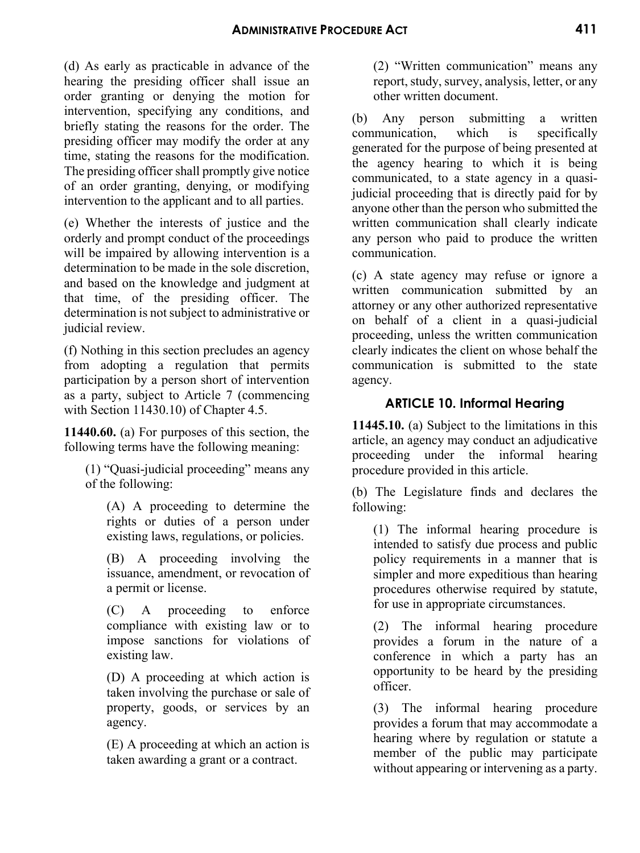(d) As early as practicable in advance of the hearing the presiding officer shall issue an order granting or denying the motion for intervention, specifying any conditions, and briefly stating the reasons for the order. The presiding officer may modify the order at any time, stating the reasons for the modification. The presiding officer shall promptly give notice of an order granting, denying, or modifying intervention to the applicant and to all parties.

(e) Whether the interests of justice and the orderly and prompt conduct of the proceedings will be impaired by allowing intervention is a determination to be made in the sole discretion, and based on the knowledge and judgment at that time, of the presiding officer. The determination is not subject to administrative or judicial review.

(f) Nothing in this section precludes an agency from adopting a regulation that permits participation by a person short of intervention as a party, subject to Article 7 (commencing with Section 11430.10) of Chapter 4.5.

**11440.60.** (a) For purposes of this section, the following terms have the following meaning:

(1) "Quasi-judicial proceeding" means any of the following:

(A) A proceeding to determine the rights or duties of a person under existing laws, regulations, or policies.

(B) A proceeding involving the issuance, amendment, or revocation of a permit or license.

(C) A proceeding to enforce compliance with existing law or to impose sanctions for violations of existing law.

(D) A proceeding at which action is taken involving the purchase or sale of property, goods, or services by an agency.

(E) A proceeding at which an action is taken awarding a grant or a contract.

(2) "Written communication" means any report, study, survey, analysis, letter, or any other written document.

(b) Any person submitting a written communication, which is specifically generated for the purpose of being presented at the agency hearing to which it is being communicated, to a state agency in a quasijudicial proceeding that is directly paid for by anyone other than the person who submitted the written communication shall clearly indicate any person who paid to produce the written communication.

(c) A state agency may refuse or ignore a written communication submitted by an attorney or any other authorized representative on behalf of a client in a quasi-judicial proceeding, unless the written communication clearly indicates the client on whose behalf the communication is submitted to the state agency.

# **ARTICLE 10. Informal Hearing**

**11445.10.** (a) Subject to the limitations in this article, an agency may conduct an adjudicative proceeding under the informal hearing procedure provided in this article.

(b) The Legislature finds and declares the following:

(1) The informal hearing procedure is intended to satisfy due process and public policy requirements in a manner that is simpler and more expeditious than hearing procedures otherwise required by statute, for use in appropriate circumstances.

(2) The informal hearing procedure provides a forum in the nature of a conference in which a party has an opportunity to be heard by the presiding officer.

(3) The informal hearing procedure provides a forum that may accommodate a hearing where by regulation or statute a member of the public may participate without appearing or intervening as a party.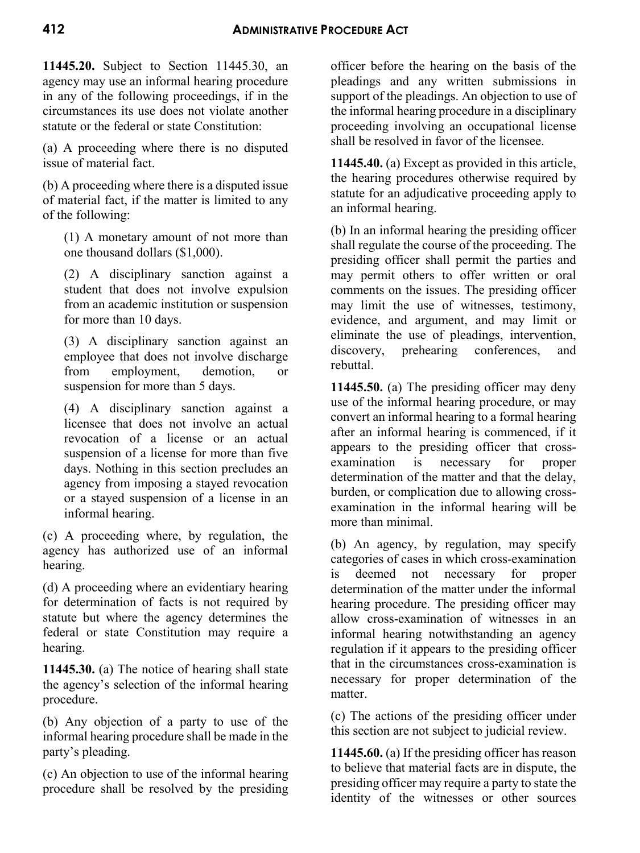**11445.20.** Subject to Section 11445.30, an agency may use an informal hearing procedure in any of the following proceedings, if in the circumstances its use does not violate another statute or the federal or state Constitution:

(a) A proceeding where there is no disputed issue of material fact.

(b) A proceeding where there is a disputed issue of material fact, if the matter is limited to any of the following:

(1) A monetary amount of not more than one thousand dollars (\$1,000).

(2) A disciplinary sanction against a student that does not involve expulsion from an academic institution or suspension for more than 10 days.

(3) A disciplinary sanction against an employee that does not involve discharge from employment, demotion, or suspension for more than 5 days.

(4) A disciplinary sanction against a licensee that does not involve an actual revocation of a license or an actual suspension of a license for more than five days. Nothing in this section precludes an agency from imposing a stayed revocation or a stayed suspension of a license in an informal hearing.

(c) A proceeding where, by regulation, the agency has authorized use of an informal hearing.

(d) A proceeding where an evidentiary hearing for determination of facts is not required by statute but where the agency determines the federal or state Constitution may require a hearing.

**11445.30.** (a) The notice of hearing shall state the agency's selection of the informal hearing procedure.

(b) Any objection of a party to use of the informal hearing procedure shall be made in the party's pleading.

(c) An objection to use of the informal hearing procedure shall be resolved by the presiding officer before the hearing on the basis of the pleadings and any written submissions in support of the pleadings. An objection to use of the informal hearing procedure in a disciplinary proceeding involving an occupational license shall be resolved in favor of the licensee.

**11445.40.** (a) Except as provided in this article, the hearing procedures otherwise required by statute for an adjudicative proceeding apply to an informal hearing.

(b) In an informal hearing the presiding officer shall regulate the course of the proceeding. The presiding officer shall permit the parties and may permit others to offer written or oral comments on the issues. The presiding officer may limit the use of witnesses, testimony, evidence, and argument, and may limit or eliminate the use of pleadings, intervention, discovery, prehearing conferences, and rebuttal.

**11445.50.** (a) The presiding officer may deny use of the informal hearing procedure, or may convert an informal hearing to a formal hearing after an informal hearing is commenced, if it appears to the presiding officer that crossexamination is necessary for proper determination of the matter and that the delay, burden, or complication due to allowing crossexamination in the informal hearing will be more than minimal.

(b) An agency, by regulation, may specify categories of cases in which cross-examination is deemed not necessary for proper determination of the matter under the informal hearing procedure. The presiding officer may allow cross-examination of witnesses in an informal hearing notwithstanding an agency regulation if it appears to the presiding officer that in the circumstances cross-examination is necessary for proper determination of the matter.

(c) The actions of the presiding officer under this section are not subject to judicial review.

**11445.60.** (a) If the presiding officer has reason to believe that material facts are in dispute, the presiding officer may require a party to state the identity of the witnesses or other sources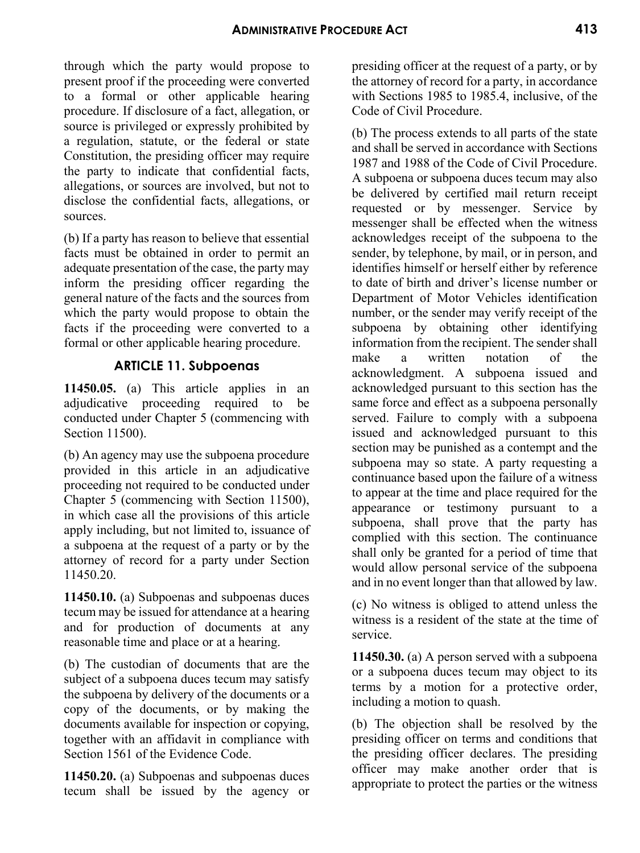through which the party would propose to present proof if the proceeding were converted to a formal or other applicable hearing procedure. If disclosure of a fact, allegation, or source is privileged or expressly prohibited by a regulation, statute, or the federal or state Constitution, the presiding officer may require the party to indicate that confidential facts, allegations, or sources are involved, but not to disclose the confidential facts, allegations, or sources.

(b) If a party has reason to believe that essential facts must be obtained in order to permit an adequate presentation of the case, the party may inform the presiding officer regarding the general nature of the facts and the sources from which the party would propose to obtain the facts if the proceeding were converted to a formal or other applicable hearing procedure.

## **ARTICLE 11. Subpoenas**

**11450.05.** (a) This article applies in an adjudicative proceeding required to be conducted under Chapter 5 (commencing with Section 11500).

(b) An agency may use the subpoena procedure provided in this article in an adjudicative proceeding not required to be conducted under Chapter 5 (commencing with Section 11500), in which case all the provisions of this article apply including, but not limited to, issuance of a subpoena at the request of a party or by the attorney of record for a party under Section 11450.20.

**11450.10.** (a) Subpoenas and subpoenas duces tecum may be issued for attendance at a hearing and for production of documents at any reasonable time and place or at a hearing.

(b) The custodian of documents that are the subject of a subpoena duces tecum may satisfy the subpoena by delivery of the documents or a copy of the documents, or by making the documents available for inspection or copying, together with an affidavit in compliance with Section 1561 of the Evidence Code.

**11450.20.** (a) Subpoenas and subpoenas duces tecum shall be issued by the agency or

presiding officer at the request of a party, or by the attorney of record for a party, in accordance with Sections 1985 to 1985.4, inclusive, of the Code of Civil Procedure.

(b) The process extends to all parts of the state and shall be served in accordance with Sections 1987 and 1988 of the Code of Civil Procedure. A subpoena or subpoena duces tecum may also be delivered by certified mail return receipt requested or by messenger. Service by messenger shall be effected when the witness acknowledges receipt of the subpoena to the sender, by telephone, by mail, or in person, and identifies himself or herself either by reference to date of birth and driver's license number or Department of Motor Vehicles identification number, or the sender may verify receipt of the subpoena by obtaining other identifying information from the recipient. The sender shall make a written notation of the acknowledgment. A subpoena issued and acknowledged pursuant to this section has the same force and effect as a subpoena personally served. Failure to comply with a subpoena issued and acknowledged pursuant to this section may be punished as a contempt and the subpoena may so state. A party requesting a continuance based upon the failure of a witness to appear at the time and place required for the appearance or testimony pursuant to a subpoena, shall prove that the party has complied with this section. The continuance shall only be granted for a period of time that would allow personal service of the subpoena and in no event longer than that allowed by law.

(c) No witness is obliged to attend unless the witness is a resident of the state at the time of service.

**11450.30.** (a) A person served with a subpoena or a subpoena duces tecum may object to its terms by a motion for a protective order, including a motion to quash.

(b) The objection shall be resolved by the presiding officer on terms and conditions that the presiding officer declares. The presiding officer may make another order that is appropriate to protect the parties or the witness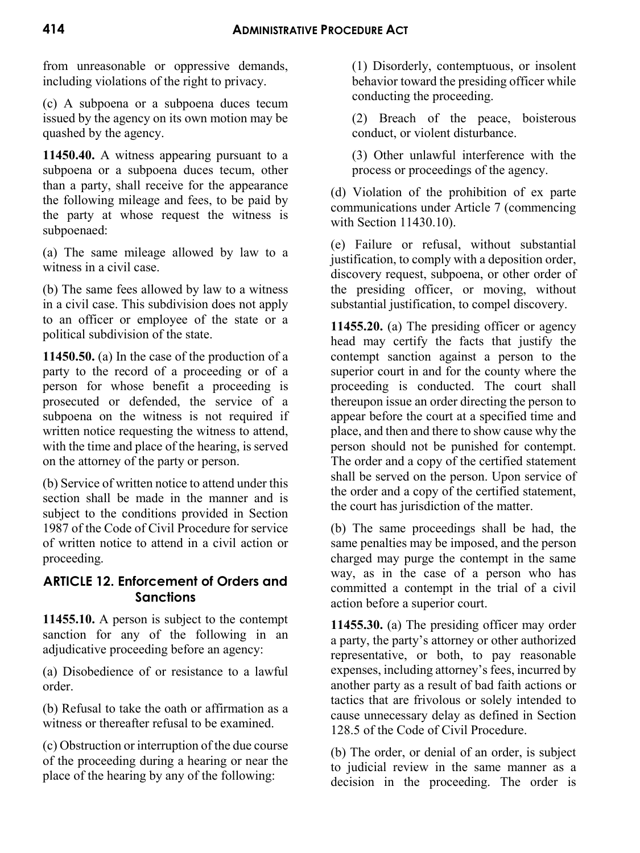from unreasonable or oppressive demands, including violations of the right to privacy.

(c) A subpoena or a subpoena duces tecum issued by the agency on its own motion may be quashed by the agency.

**11450.40.** A witness appearing pursuant to a subpoena or a subpoena duces tecum, other than a party, shall receive for the appearance the following mileage and fees, to be paid by the party at whose request the witness is subpoenaed:

(a) The same mileage allowed by law to a witness in a civil case.

(b) The same fees allowed by law to a witness in a civil case. This subdivision does not apply to an officer or employee of the state or a political subdivision of the state.

**11450.50.** (a) In the case of the production of a party to the record of a proceeding or of a person for whose benefit a proceeding is prosecuted or defended, the service of a subpoena on the witness is not required if written notice requesting the witness to attend, with the time and place of the hearing, is served on the attorney of the party or person.

(b) Service of written notice to attend under this section shall be made in the manner and is subject to the conditions provided in Section 1987 of the Code of Civil Procedure for service of written notice to attend in a civil action or proceeding.

# **ARTICLE 12. Enforcement of Orders and Sanctions**

**11455.10.** A person is subject to the contempt sanction for any of the following in an adjudicative proceeding before an agency:

(a) Disobedience of or resistance to a lawful order.

(b) Refusal to take the oath or affirmation as a witness or thereafter refusal to be examined.

(c) Obstruction or interruption of the due course of the proceeding during a hearing or near the place of the hearing by any of the following:

(1) Disorderly, contemptuous, or insolent behavior toward the presiding officer while conducting the proceeding.

(2) Breach of the peace, boisterous conduct, or violent disturbance.

(3) Other unlawful interference with the process or proceedings of the agency.

(d) Violation of the prohibition of ex parte communications under Article 7 (commencing with Section 11430.10).

(e) Failure or refusal, without substantial justification, to comply with a deposition order, discovery request, subpoena, or other order of the presiding officer, or moving, without substantial justification, to compel discovery.

**11455.20.** (a) The presiding officer or agency head may certify the facts that justify the contempt sanction against a person to the superior court in and for the county where the proceeding is conducted. The court shall thereupon issue an order directing the person to appear before the court at a specified time and place, and then and there to show cause why the person should not be punished for contempt. The order and a copy of the certified statement shall be served on the person. Upon service of the order and a copy of the certified statement, the court has jurisdiction of the matter.

(b) The same proceedings shall be had, the same penalties may be imposed, and the person charged may purge the contempt in the same way, as in the case of a person who has committed a contempt in the trial of a civil action before a superior court.

**11455.30.** (a) The presiding officer may order a party, the party's attorney or other authorized representative, or both, to pay reasonable expenses, including attorney's fees, incurred by another party as a result of bad faith actions or tactics that are frivolous or solely intended to cause unnecessary delay as defined in Section 128.5 of the Code of Civil Procedure.

(b) The order, or denial of an order, is subject to judicial review in the same manner as a decision in the proceeding. The order is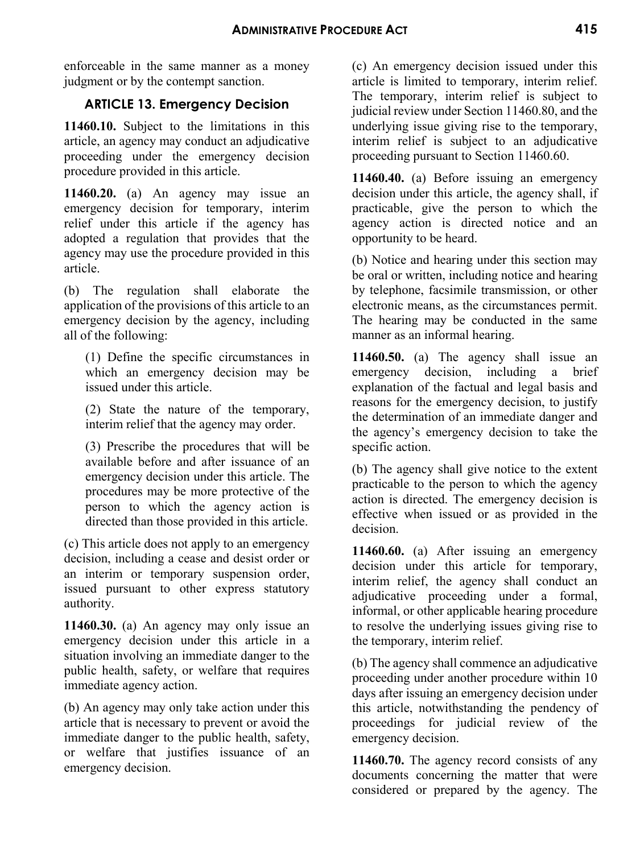enforceable in the same manner as a money judgment or by the contempt sanction.

# **ARTICLE 13. Emergency Decision**

**11460.10.** Subject to the limitations in this article, an agency may conduct an adjudicative proceeding under the emergency decision procedure provided in this article.

**11460.20.** (a) An agency may issue an emergency decision for temporary, interim relief under this article if the agency has adopted a regulation that provides that the agency may use the procedure provided in this article.

(b) The regulation shall elaborate the application of the provisions of this article to an emergency decision by the agency, including all of the following:

(1) Define the specific circumstances in which an emergency decision may be issued under this article.

(2) State the nature of the temporary, interim relief that the agency may order.

(3) Prescribe the procedures that will be available before and after issuance of an emergency decision under this article. The procedures may be more protective of the person to which the agency action is directed than those provided in this article.

(c) This article does not apply to an emergency decision, including a cease and desist order or an interim or temporary suspension order, issued pursuant to other express statutory authority.

**11460.30.** (a) An agency may only issue an emergency decision under this article in a situation involving an immediate danger to the public health, safety, or welfare that requires immediate agency action.

(b) An agency may only take action under this article that is necessary to prevent or avoid the immediate danger to the public health, safety, or welfare that justifies issuance of an emergency decision.

(c) An emergency decision issued under this article is limited to temporary, interim relief. The temporary, interim relief is subject to judicial review under Section 11460.80, and the underlying issue giving rise to the temporary, interim relief is subject to an adjudicative proceeding pursuant to Section 11460.60.

**11460.40.** (a) Before issuing an emergency decision under this article, the agency shall, if practicable, give the person to which the agency action is directed notice and an opportunity to be heard.

(b) Notice and hearing under this section may be oral or written, including notice and hearing by telephone, facsimile transmission, or other electronic means, as the circumstances permit. The hearing may be conducted in the same manner as an informal hearing.

**11460.50.** (a) The agency shall issue an emergency decision, including a brief explanation of the factual and legal basis and reasons for the emergency decision, to justify the determination of an immediate danger and the agency's emergency decision to take the specific action.

(b) The agency shall give notice to the extent practicable to the person to which the agency action is directed. The emergency decision is effective when issued or as provided in the decision.

**11460.60.** (a) After issuing an emergency decision under this article for temporary, interim relief, the agency shall conduct an adjudicative proceeding under a formal, informal, or other applicable hearing procedure to resolve the underlying issues giving rise to the temporary, interim relief.

(b) The agency shall commence an adjudicative proceeding under another procedure within 10 days after issuing an emergency decision under this article, notwithstanding the pendency of proceedings for judicial review of the emergency decision.

**11460.70.** The agency record consists of any documents concerning the matter that were considered or prepared by the agency. The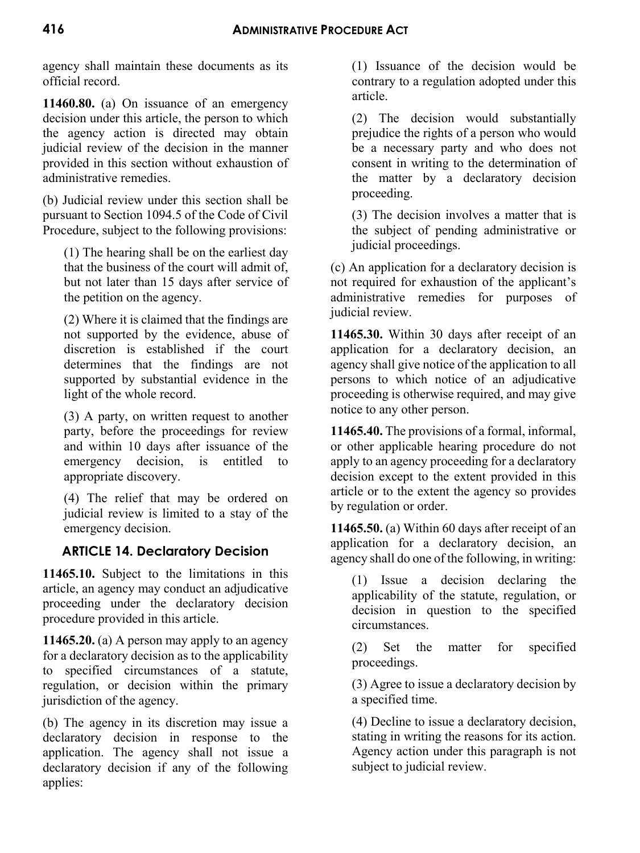agency shall maintain these documents as its official record.

**11460.80.** (a) On issuance of an emergency decision under this article, the person to which the agency action is directed may obtain judicial review of the decision in the manner provided in this section without exhaustion of administrative remedies.

(b) Judicial review under this section shall be pursuant to Section 1094.5 of the Code of Civil Procedure, subject to the following provisions:

(1) The hearing shall be on the earliest day that the business of the court will admit of, but not later than 15 days after service of the petition on the agency.

(2) Where it is claimed that the findings are not supported by the evidence, abuse of discretion is established if the court determines that the findings are not supported by substantial evidence in the light of the whole record.

(3) A party, on written request to another party, before the proceedings for review and within 10 days after issuance of the emergency decision, is entitled to appropriate discovery.

(4) The relief that may be ordered on judicial review is limited to a stay of the emergency decision.

# **ARTICLE 14. Declaratory Decision**

**11465.10.** Subject to the limitations in this article, an agency may conduct an adjudicative proceeding under the declaratory decision procedure provided in this article.

**11465.20.** (a) A person may apply to an agency for a declaratory decision as to the applicability to specified circumstances of a statute, regulation, or decision within the primary jurisdiction of the agency.

(b) The agency in its discretion may issue a declaratory decision in response to the application. The agency shall not issue a declaratory decision if any of the following applies:

(1) Issuance of the decision would be contrary to a regulation adopted under this article.

(2) The decision would substantially prejudice the rights of a person who would be a necessary party and who does not consent in writing to the determination of the matter by a declaratory decision proceeding.

(3) The decision involves a matter that is the subject of pending administrative or judicial proceedings.

(c) An application for a declaratory decision is not required for exhaustion of the applicant's administrative remedies for purposes of judicial review.

**11465.30.** Within 30 days after receipt of an application for a declaratory decision, an agency shall give notice of the application to all persons to which notice of an adjudicative proceeding is otherwise required, and may give notice to any other person.

**11465.40.** The provisions of a formal, informal, or other applicable hearing procedure do not apply to an agency proceeding for a declaratory decision except to the extent provided in this article or to the extent the agency so provides by regulation or order.

**11465.50.** (a) Within 60 days after receipt of an application for a declaratory decision, an agency shall do one of the following, in writing:

(1) Issue a decision declaring the applicability of the statute, regulation, or decision in question to the specified circumstances.

(2) Set the matter for specified proceedings.

(3) Agree to issue a declaratory decision by a specified time.

(4) Decline to issue a declaratory decision, stating in writing the reasons for its action. Agency action under this paragraph is not subject to judicial review.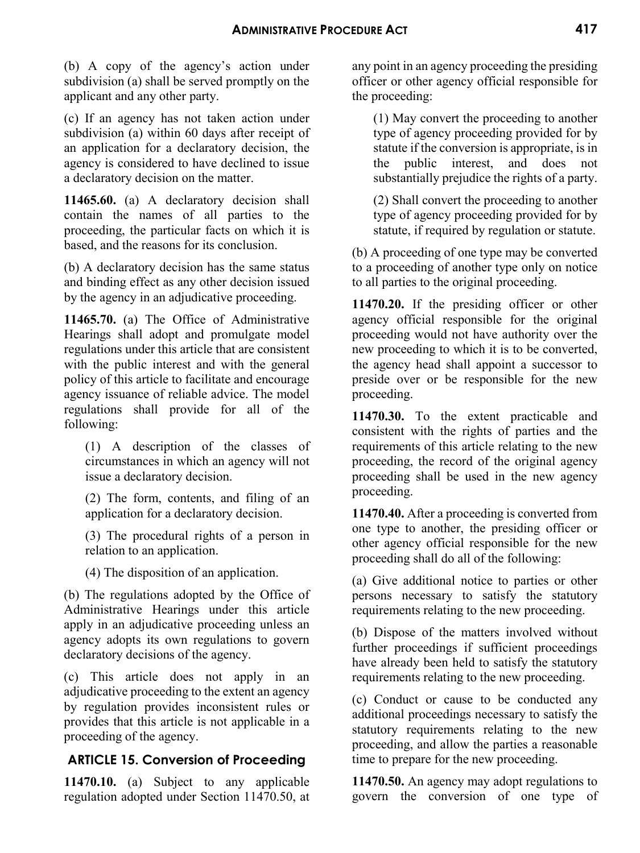(b) A copy of the agency's action under subdivision (a) shall be served promptly on the applicant and any other party.

(c) If an agency has not taken action under subdivision (a) within 60 days after receipt of an application for a declaratory decision, the agency is considered to have declined to issue a declaratory decision on the matter.

**11465.60.** (a) A declaratory decision shall contain the names of all parties to the proceeding, the particular facts on which it is based, and the reasons for its conclusion.

(b) A declaratory decision has the same status and binding effect as any other decision issued by the agency in an adjudicative proceeding.

**11465.70.** (a) The Office of Administrative Hearings shall adopt and promulgate model regulations under this article that are consistent with the public interest and with the general policy of this article to facilitate and encourage agency issuance of reliable advice. The model regulations shall provide for all of the following:

(1) A description of the classes of circumstances in which an agency will not issue a declaratory decision.

(2) The form, contents, and filing of an application for a declaratory decision.

(3) The procedural rights of a person in relation to an application.

(4) The disposition of an application.

(b) The regulations adopted by the Office of Administrative Hearings under this article apply in an adjudicative proceeding unless an agency adopts its own regulations to govern declaratory decisions of the agency.

(c) This article does not apply in an adjudicative proceeding to the extent an agency by regulation provides inconsistent rules or provides that this article is not applicable in a proceeding of the agency.

# **ARTICLE 15. Conversion of Proceeding**

**11470.10.** (a) Subject to any applicable regulation adopted under Section 11470.50, at any point in an agency proceeding the presiding officer or other agency official responsible for the proceeding:

(1) May convert the proceeding to another type of agency proceeding provided for by statute if the conversion is appropriate, is in the public interest, and does not substantially prejudice the rights of a party.

(2) Shall convert the proceeding to another type of agency proceeding provided for by statute, if required by regulation or statute.

(b) A proceeding of one type may be converted to a proceeding of another type only on notice to all parties to the original proceeding.

**11470.20.** If the presiding officer or other agency official responsible for the original proceeding would not have authority over the new proceeding to which it is to be converted, the agency head shall appoint a successor to preside over or be responsible for the new proceeding.

**11470.30.** To the extent practicable and consistent with the rights of parties and the requirements of this article relating to the new proceeding, the record of the original agency proceeding shall be used in the new agency proceeding.

**11470.40.** After a proceeding is converted from one type to another, the presiding officer or other agency official responsible for the new proceeding shall do all of the following:

(a) Give additional notice to parties or other persons necessary to satisfy the statutory requirements relating to the new proceeding.

(b) Dispose of the matters involved without further proceedings if sufficient proceedings have already been held to satisfy the statutory requirements relating to the new proceeding.

(c) Conduct or cause to be conducted any additional proceedings necessary to satisfy the statutory requirements relating to the new proceeding, and allow the parties a reasonable time to prepare for the new proceeding.

**11470.50.** An agency may adopt regulations to govern the conversion of one type of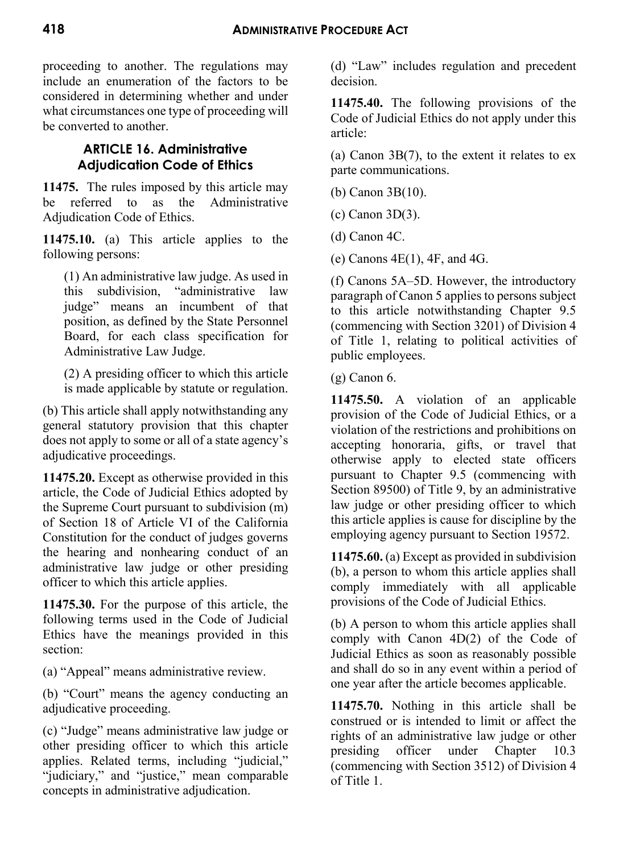proceeding to another. The regulations may include an enumeration of the factors to be considered in determining whether and under what circumstances one type of proceeding will be converted to another.

# **ARTICLE 16. Administrative Adjudication Code of Ethics**

**11475.** The rules imposed by this article may be referred to as the Administrative Adjudication Code of Ethics.

**11475.10.** (a) This article applies to the following persons:

(1) An administrative law judge. As used in this subdivision, "administrative law judge" means an incumbent of that position, as defined by the State Personnel Board, for each class specification for Administrative Law Judge.

(2) A presiding officer to which this article is made applicable by statute or regulation.

(b) This article shall apply notwithstanding any general statutory provision that this chapter does not apply to some or all of a state agency's adjudicative proceedings.

**11475.20.** Except as otherwise provided in this article, the Code of Judicial Ethics adopted by the Supreme Court pursuant to subdivision (m) of Section 18 of Article VI of the California Constitution for the conduct of judges governs the hearing and nonhearing conduct of an administrative law judge or other presiding officer to which this article applies.

**11475.30.** For the purpose of this article, the following terms used in the Code of Judicial Ethics have the meanings provided in this section:

(a) "Appeal" means administrative review.

(b) "Court" means the agency conducting an adjudicative proceeding.

(c) "Judge" means administrative law judge or other presiding officer to which this article applies. Related terms, including "judicial," "judiciary," and "justice," mean comparable concepts in administrative adjudication.

(d) "Law" includes regulation and precedent decision.

**11475.40.** The following provisions of the Code of Judicial Ethics do not apply under this article:

(a) Canon  $3B(7)$ , to the extent it relates to ex parte communications.

(b) Canon 3B(10).

(c) Canon 3D(3).

(d) Canon 4C.

 $(e)$  Canons  $4E(1)$ ,  $4F$ , and  $4G$ .

(f) Canons 5A–5D. However, the introductory paragraph of Canon 5 applies to persons subject to this article notwithstanding Chapter 9.5 (commencing with Section 3201) of Division 4 of Title 1, relating to political activities of public employees.

 $(g)$  Canon 6.

**11475.50.** A violation of an applicable provision of the Code of Judicial Ethics, or a violation of the restrictions and prohibitions on accepting honoraria, gifts, or travel that otherwise apply to elected state officers pursuant to Chapter 9.5 (commencing with Section 89500) of Title 9, by an administrative law judge or other presiding officer to which this article applies is cause for discipline by the employing agency pursuant to Section 19572.

**11475.60.** (a) Except as provided in subdivision (b), a person to whom this article applies shall comply immediately with all applicable provisions of the Code of Judicial Ethics.

(b) A person to whom this article applies shall comply with Canon 4D(2) of the Code of Judicial Ethics as soon as reasonably possible and shall do so in any event within a period of one year after the article becomes applicable.

**11475.70.** Nothing in this article shall be construed or is intended to limit or affect the rights of an administrative law judge or other presiding officer under Chapter 10.3 (commencing with Section 3512) of Division 4 of Title 1.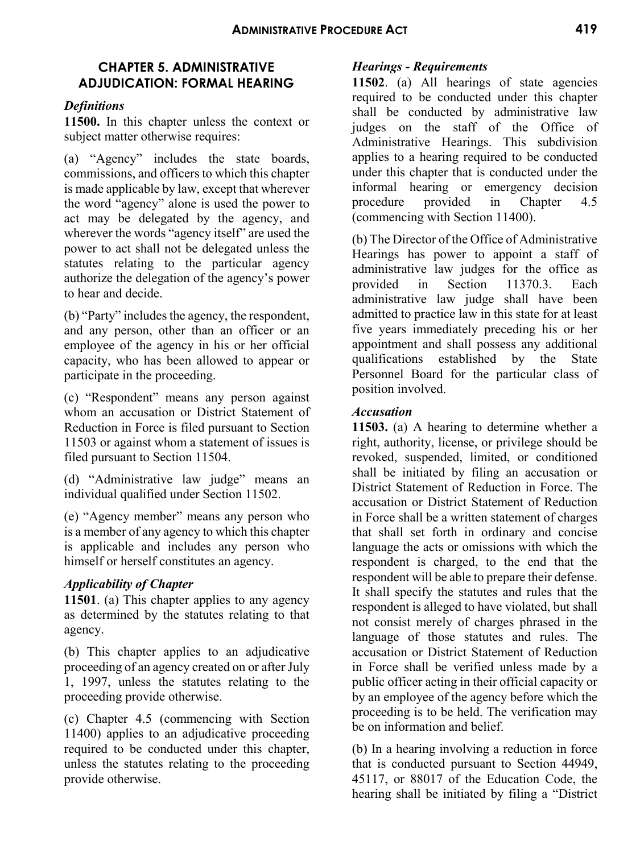#### **CHAPTER 5. ADMINISTRATIVE ADJUDICATION: FORMAL HEARING**

## *Definitions*

**11500.** In this chapter unless the context or subject matter otherwise requires:

(a) "Agency" includes the state boards, commissions, and officers to which this chapter is made applicable by law, except that wherever the word "agency" alone is used the power to act may be delegated by the agency, and wherever the words "agency itself" are used the power to act shall not be delegated unless the statutes relating to the particular agency authorize the delegation of the agency's power to hear and decide.

(b) "Party" includes the agency, the respondent, and any person, other than an officer or an employee of the agency in his or her official capacity, who has been allowed to appear or participate in the proceeding.

(c) "Respondent" means any person against whom an accusation or District Statement of Reduction in Force is filed pursuant to Section 11503 or against whom a statement of issues is filed pursuant to Section 11504.

(d) "Administrative law judge" means an individual qualified under Section 11502.

(e) "Agency member" means any person who is a member of any agency to which this chapter is applicable and includes any person who himself or herself constitutes an agency.

#### *Applicability of Chapter*

**11501**. (a) This chapter applies to any agency as determined by the statutes relating to that agency.

(b) This chapter applies to an adjudicative proceeding of an agency created on or after July 1, 1997, unless the statutes relating to the proceeding provide otherwise.

(c) Chapter 4.5 (commencing with Section 11400) applies to an adjudicative proceeding required to be conducted under this chapter, unless the statutes relating to the proceeding provide otherwise.

#### *Hearings - Requirements*

**11502**. (a) All hearings of state agencies required to be conducted under this chapter shall be conducted by administrative law judges on the staff of the Office of Administrative Hearings. This subdivision applies to a hearing required to be conducted under this chapter that is conducted under the informal hearing or emergency decision procedure provided in Chapter 4.5 (commencing with Section 11400).

(b) The Director of the Office of Administrative Hearings has power to appoint a staff of administrative law judges for the office as provided in Section 11370.3. Each administrative law judge shall have been admitted to practice law in this state for at least five years immediately preceding his or her appointment and shall possess any additional qualifications established by the State Personnel Board for the particular class of position involved.

#### *Accusation*

**11503.** (a) A hearing to determine whether a right, authority, license, or privilege should be revoked, suspended, limited, or conditioned shall be initiated by filing an accusation or District Statement of Reduction in Force. The accusation or District Statement of Reduction in Force shall be a written statement of charges that shall set forth in ordinary and concise language the acts or omissions with which the respondent is charged, to the end that the respondent will be able to prepare their defense. It shall specify the statutes and rules that the respondent is alleged to have violated, but shall not consist merely of charges phrased in the language of those statutes and rules. The accusation or District Statement of Reduction in Force shall be verified unless made by a public officer acting in their official capacity or by an employee of the agency before which the proceeding is to be held. The verification may be on information and belief.

(b) In a hearing involving a reduction in force that is conducted pursuant to Section 44949, 45117, or 88017 of the Education Code, the hearing shall be initiated by filing a "District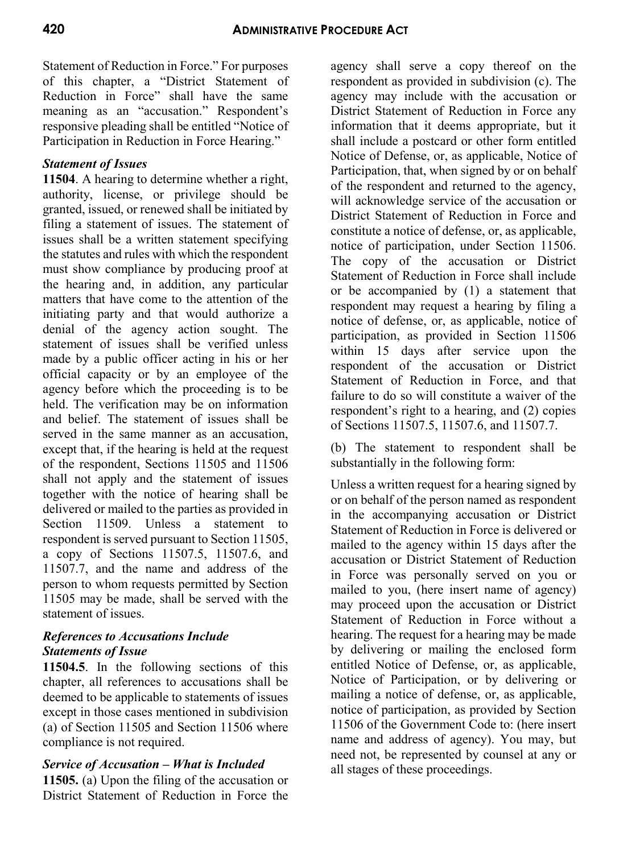Statement of Reduction in Force." For purposes of this chapter, a "District Statement of Reduction in Force" shall have the same meaning as an "accusation." Respondent's responsive pleading shall be entitled "Notice of Participation in Reduction in Force Hearing."

#### *Statement of Issues*

**11504**. A hearing to determine whether a right, authority, license, or privilege should be granted, issued, or renewed shall be initiated by filing a statement of issues. The statement of issues shall be a written statement specifying the statutes and rules with which the respondent must show compliance by producing proof at the hearing and, in addition, any particular matters that have come to the attention of the initiating party and that would authorize a denial of the agency action sought. The statement of issues shall be verified unless made by a public officer acting in his or her official capacity or by an employee of the agency before which the proceeding is to be held. The verification may be on information and belief. The statement of issues shall be served in the same manner as an accusation, except that, if the hearing is held at the request of the respondent, Sections 11505 and 11506 shall not apply and the statement of issues together with the notice of hearing shall be delivered or mailed to the parties as provided in Section 11509. Unless a statement to respondent is served pursuant to Section 11505, a copy of Sections 11507.5, 11507.6, and 11507.7, and the name and address of the person to whom requests permitted by Section 11505 may be made, shall be served with the statement of issues.

## *References to Accusations Include Statements of Issue*

**11504.5**. In the following sections of this chapter, all references to accusations shall be deemed to be applicable to statements of issues except in those cases mentioned in subdivision (a) of Section 11505 and Section 11506 where compliance is not required.

# *Service of Accusation – What is Included*

**11505.** (a) Upon the filing of the accusation or District Statement of Reduction in Force the

agency shall serve a copy thereof on the respondent as provided in subdivision (c). The agency may include with the accusation or District Statement of Reduction in Force any information that it deems appropriate, but it shall include a postcard or other form entitled Notice of Defense, or, as applicable, Notice of Participation, that, when signed by or on behalf of the respondent and returned to the agency, will acknowledge service of the accusation or District Statement of Reduction in Force and constitute a notice of defense, or, as applicable, notice of participation, under Section 11506. The copy of the accusation or District Statement of Reduction in Force shall include or be accompanied by (1) a statement that respondent may request a hearing by filing a notice of defense, or, as applicable, notice of participation, as provided in Section 11506 within 15 days after service upon the respondent of the accusation or District Statement of Reduction in Force, and that failure to do so will constitute a waiver of the respondent's right to a hearing, and (2) copies of Sections 11507.5, 11507.6, and 11507.7.

(b) The statement to respondent shall be substantially in the following form:

Unless a written request for a hearing signed by or on behalf of the person named as respondent in the accompanying accusation or District Statement of Reduction in Force is delivered or mailed to the agency within 15 days after the accusation or District Statement of Reduction in Force was personally served on you or mailed to you, (here insert name of agency) may proceed upon the accusation or District Statement of Reduction in Force without a hearing. The request for a hearing may be made by delivering or mailing the enclosed form entitled Notice of Defense, or, as applicable, Notice of Participation, or by delivering or mailing a notice of defense, or, as applicable, notice of participation, as provided by Section 11506 of the Government Code to: (here insert name and address of agency). You may, but need not, be represented by counsel at any or all stages of these proceedings.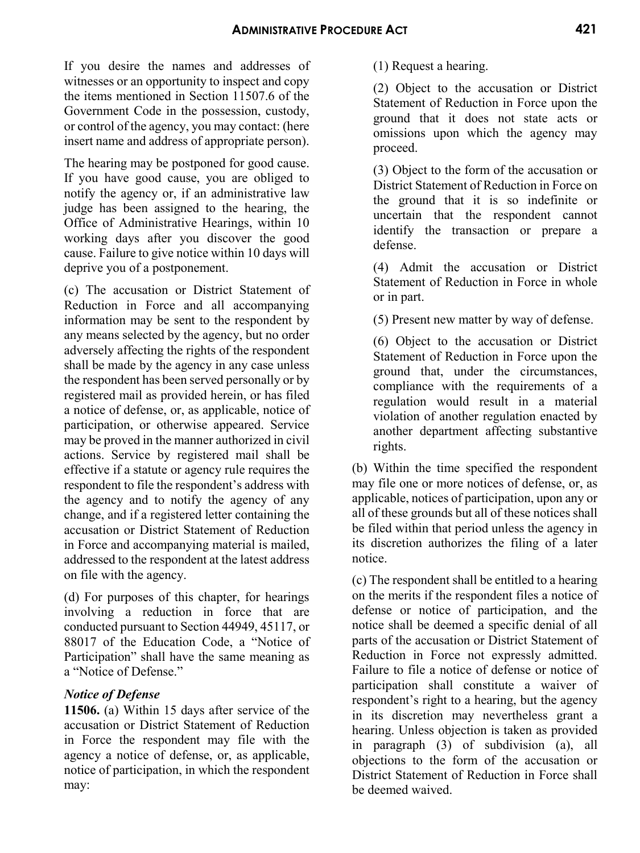If you desire the names and addresses of witnesses or an opportunity to inspect and copy the items mentioned in Section 11507.6 of the Government Code in the possession, custody, or control of the agency, you may contact: (here insert name and address of appropriate person).

The hearing may be postponed for good cause. If you have good cause, you are obliged to notify the agency or, if an administrative law judge has been assigned to the hearing, the Office of Administrative Hearings, within 10 working days after you discover the good cause. Failure to give notice within 10 days will deprive you of a postponement.

(c) The accusation or District Statement of Reduction in Force and all accompanying information may be sent to the respondent by any means selected by the agency, but no order adversely affecting the rights of the respondent shall be made by the agency in any case unless the respondent has been served personally or by registered mail as provided herein, or has filed a notice of defense, or, as applicable, notice of participation, or otherwise appeared. Service may be proved in the manner authorized in civil actions. Service by registered mail shall be effective if a statute or agency rule requires the respondent to file the respondent's address with the agency and to notify the agency of any change, and if a registered letter containing the accusation or District Statement of Reduction in Force and accompanying material is mailed, addressed to the respondent at the latest address on file with the agency.

(d) For purposes of this chapter, for hearings involving a reduction in force that are conducted pursuant to Section 44949, 45117, or 88017 of the Education Code, a "Notice of Participation" shall have the same meaning as a "Notice of Defense."

#### *Notice of Defense*

**11506.** (a) Within 15 days after service of the accusation or District Statement of Reduction in Force the respondent may file with the agency a notice of defense, or, as applicable, notice of participation, in which the respondent may:

(1) Request a hearing.

(2) Object to the accusation or District Statement of Reduction in Force upon the ground that it does not state acts or omissions upon which the agency may proceed.

(3) Object to the form of the accusation or District Statement of Reduction in Force on the ground that it is so indefinite or uncertain that the respondent cannot identify the transaction or prepare a defense.

(4) Admit the accusation or District Statement of Reduction in Force in whole or in part.

(5) Present new matter by way of defense.

(6) Object to the accusation or District Statement of Reduction in Force upon the ground that, under the circumstances, compliance with the requirements of a regulation would result in a material violation of another regulation enacted by another department affecting substantive rights.

(b) Within the time specified the respondent may file one or more notices of defense, or, as applicable, notices of participation, upon any or all of these grounds but all of these notices shall be filed within that period unless the agency in its discretion authorizes the filing of a later notice.

(c) The respondent shall be entitled to a hearing on the merits if the respondent files a notice of defense or notice of participation, and the notice shall be deemed a specific denial of all parts of the accusation or District Statement of Reduction in Force not expressly admitted. Failure to file a notice of defense or notice of participation shall constitute a waiver of respondent's right to a hearing, but the agency in its discretion may nevertheless grant a hearing. Unless objection is taken as provided in paragraph (3) of subdivision (a), all objections to the form of the accusation or District Statement of Reduction in Force shall be deemed waived.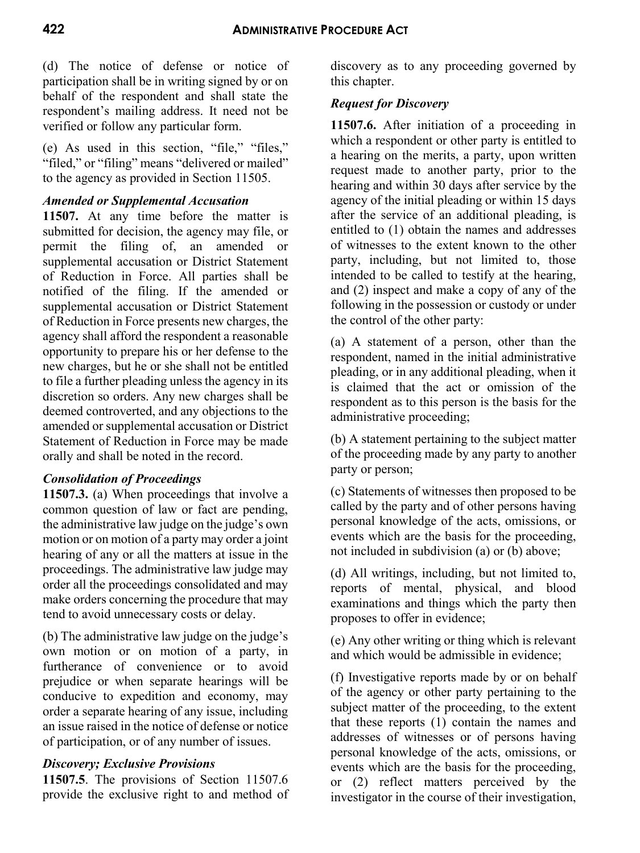(d) The notice of defense or notice of participation shall be in writing signed by or on behalf of the respondent and shall state the respondent's mailing address. It need not be verified or follow any particular form.

(e) As used in this section, "file," "files," "filed," or "filing" means "delivered or mailed" to the agency as provided in Section 11505.

#### *Amended or Supplemental Accusation*

**11507.** At any time before the matter is submitted for decision, the agency may file, or permit the filing of, an amended or supplemental accusation or District Statement of Reduction in Force. All parties shall be notified of the filing. If the amended or supplemental accusation or District Statement of Reduction in Force presents new charges, the agency shall afford the respondent a reasonable opportunity to prepare his or her defense to the new charges, but he or she shall not be entitled to file a further pleading unless the agency in its discretion so orders. Any new charges shall be deemed controverted, and any objections to the amended or supplemental accusation or District Statement of Reduction in Force may be made orally and shall be noted in the record.

#### *Consolidation of Proceedings*

**11507.3.** (a) When proceedings that involve a common question of law or fact are pending, the administrative law judge on the judge's own motion or on motion of a party may order a joint hearing of any or all the matters at issue in the proceedings. The administrative law judge may order all the proceedings consolidated and may make orders concerning the procedure that may tend to avoid unnecessary costs or delay.

(b) The administrative law judge on the judge's own motion or on motion of a party, in furtherance of convenience or to avoid prejudice or when separate hearings will be conducive to expedition and economy, may order a separate hearing of any issue, including an issue raised in the notice of defense or notice of participation, or of any number of issues.

#### *Discovery; Exclusive Provisions*

**11507.5**. The provisions of Section 11507.6 provide the exclusive right to and method of discovery as to any proceeding governed by this chapter.

#### *Request for Discovery*

**11507.6.** After initiation of a proceeding in which a respondent or other party is entitled to a hearing on the merits, a party, upon written request made to another party, prior to the hearing and within 30 days after service by the agency of the initial pleading or within 15 days after the service of an additional pleading, is entitled to (1) obtain the names and addresses of witnesses to the extent known to the other party, including, but not limited to, those intended to be called to testify at the hearing, and (2) inspect and make a copy of any of the following in the possession or custody or under the control of the other party:

(a) A statement of a person, other than the respondent, named in the initial administrative pleading, or in any additional pleading, when it is claimed that the act or omission of the respondent as to this person is the basis for the administrative proceeding;

(b) A statement pertaining to the subject matter of the proceeding made by any party to another party or person;

(c) Statements of witnesses then proposed to be called by the party and of other persons having personal knowledge of the acts, omissions, or events which are the basis for the proceeding, not included in subdivision (a) or (b) above;

(d) All writings, including, but not limited to, reports of mental, physical, and blood examinations and things which the party then proposes to offer in evidence;

(e) Any other writing or thing which is relevant and which would be admissible in evidence;

(f) Investigative reports made by or on behalf of the agency or other party pertaining to the subject matter of the proceeding, to the extent that these reports (1) contain the names and addresses of witnesses or of persons having personal knowledge of the acts, omissions, or events which are the basis for the proceeding, or (2) reflect matters perceived by the investigator in the course of their investigation,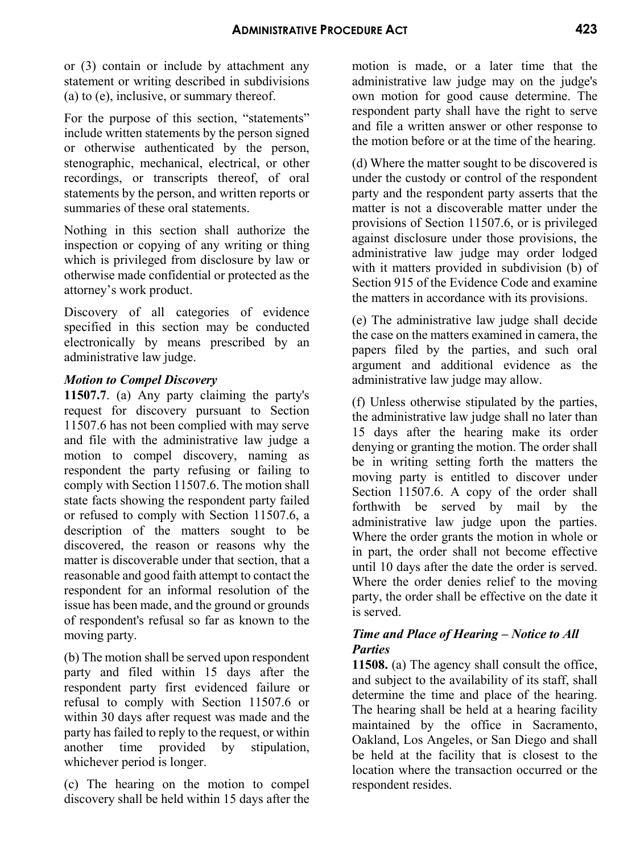or (3) contain or include by attachment any statement or writing described in subdivisions (a) to (e), inclusive, or summary thereof.

For the purpose of this section, "statements" include written statements by the person signed or otherwise authenticated by the person, stenographic, mechanical, electrical, or other recordings, or transcripts thereof, of oral statements by the person, and written reports or summaries of these oral statements.

Nothing in this section shall authorize the inspection or copying of any writing or thing which is privileged from disclosure by law or otherwise made confidential or protected as the attorney's work product.

Discovery of all categories of evidence specified in this section may be conducted electronically by means prescribed by an administrative law judge.

## *Motion to Compel Discovery*

**11507.7**. (a) Any party claiming the party's request for discovery pursuant to Section 11507.6 has not been complied with may serve and file with the administrative law judge a motion to compel discovery, naming as respondent the party refusing or failing to comply with Section 11507.6. The motion shall state facts showing the respondent party failed or refused to comply with Section 11507.6, a description of the matters sought to be discovered, the reason or reasons why the matter is discoverable under that section, that a reasonable and good faith attempt to contact the respondent for an informal resolution of the issue has been made, and the ground or grounds of respondent's refusal so far as known to the moving party.

(b) The motion shall be served upon respondent party and filed within 15 days after the respondent party first evidenced failure or refusal to comply with Section 11507.6 or within 30 days after request was made and the party has failed to reply to the request, or within another time provided by stipulation, whichever period is longer.

(c) The hearing on the motion to compel discovery shall be held within 15 days after the

motion is made, or a later time that the administrative law judge may on the judge's own motion for good cause determine. The respondent party shall have the right to serve and file a written answer or other response to the motion before or at the time of the hearing.

(d) Where the matter sought to be discovered is under the custody or control of the respondent party and the respondent party asserts that the matter is not a discoverable matter under the provisions of Section 11507.6, or is privileged against disclosure under those provisions, the administrative law judge may order lodged with it matters provided in subdivision (b) of Section 915 of the Evidence Code and examine the matters in accordance with its provisions.

(e) The administrative law judge shall decide the case on the matters examined in camera, the papers filed by the parties, and such oral argument and additional evidence as the administrative law judge may allow.

(f) Unless otherwise stipulated by the parties, the administrative law judge shall no later than 15 days after the hearing make its order denying or granting the motion. The order shall be in writing setting forth the matters the moving party is entitled to discover under Section 11507.6. A copy of the order shall forthwith be served by mail by the administrative law judge upon the parties. Where the order grants the motion in whole or in part, the order shall not become effective until 10 days after the date the order is served. Where the order denies relief to the moving party, the order shall be effective on the date it is served.

#### *Time and Place of Hearing – Notice to All Parties*

**11508.** (a) The agency shall consult the office, and subject to the availability of its staff, shall determine the time and place of the hearing. The hearing shall be held at a hearing facility maintained by the office in Sacramento, Oakland, Los Angeles, or San Diego and shall be held at the facility that is closest to the location where the transaction occurred or the respondent resides.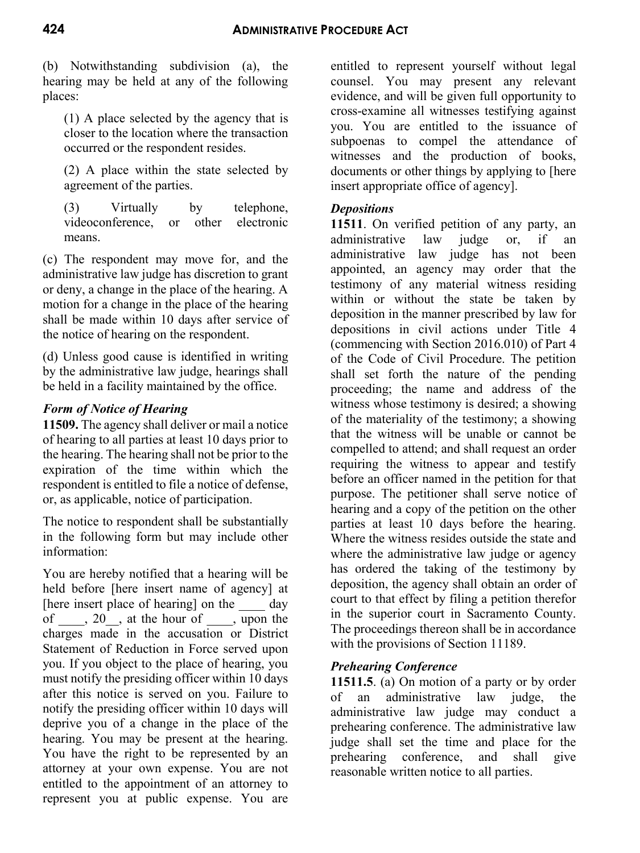(b) Notwithstanding subdivision (a), the hearing may be held at any of the following places:

(1) A place selected by the agency that is closer to the location where the transaction occurred or the respondent resides.

(2) A place within the state selected by agreement of the parties.

(3) Virtually by telephone, videoconference, or other electronic means.

(c) The respondent may move for, and the administrative law judge has discretion to grant or deny, a change in the place of the hearing. A motion for a change in the place of the hearing shall be made within 10 days after service of the notice of hearing on the respondent.

(d) Unless good cause is identified in writing by the administrative law judge, hearings shall be held in a facility maintained by the office.

# *Form of Notice of Hearing*

**11509.** The agency shall deliver or mail a notice of hearing to all parties at least 10 days prior to the hearing. The hearing shall not be prior to the expiration of the time within which the respondent is entitled to file a notice of defense, or, as applicable, notice of participation.

The notice to respondent shall be substantially in the following form but may include other information:

You are hereby notified that a hearing will be held before [here insert name of agency] at [here insert place of hearing] on the day of  $\frac{1}{\sqrt{2}}$ , at the hour of  $\frac{1}{\sqrt{2}}$ , upon the charges made in the accusation or District Statement of Reduction in Force served upon you. If you object to the place of hearing, you must notify the presiding officer within 10 days after this notice is served on you. Failure to notify the presiding officer within 10 days will deprive you of a change in the place of the hearing. You may be present at the hearing. You have the right to be represented by an attorney at your own expense. You are not entitled to the appointment of an attorney to represent you at public expense. You are entitled to represent yourself without legal counsel. You may present any relevant evidence, and will be given full opportunity to cross-examine all witnesses testifying against you. You are entitled to the issuance of subpoenas to compel the attendance of witnesses and the production of books, documents or other things by applying to [here insert appropriate office of agency].

#### *Depositions*

**11511**. On verified petition of any party, an administrative law judge or, if an administrative law judge has not been appointed, an agency may order that the testimony of any material witness residing within or without the state be taken by deposition in the manner prescribed by law for depositions in civil actions under Title 4 (commencing with Section 2016.010) of Part 4 of the Code of Civil Procedure. The petition shall set forth the nature of the pending proceeding; the name and address of the witness whose testimony is desired; a showing of the materiality of the testimony; a showing that the witness will be unable or cannot be compelled to attend; and shall request an order requiring the witness to appear and testify before an officer named in the petition for that purpose. The petitioner shall serve notice of hearing and a copy of the petition on the other parties at least 10 days before the hearing. Where the witness resides outside the state and where the administrative law judge or agency has ordered the taking of the testimony by deposition, the agency shall obtain an order of court to that effect by filing a petition therefor in the superior court in Sacramento County. The proceedings thereon shall be in accordance with the provisions of Section 11189.

#### *Prehearing Conference*

**11511.5**. (a) On motion of a party or by order of an administrative law judge, administrative law judge may conduct a prehearing conference. The administrative law judge shall set the time and place for the prehearing conference, and shall give reasonable written notice to all parties.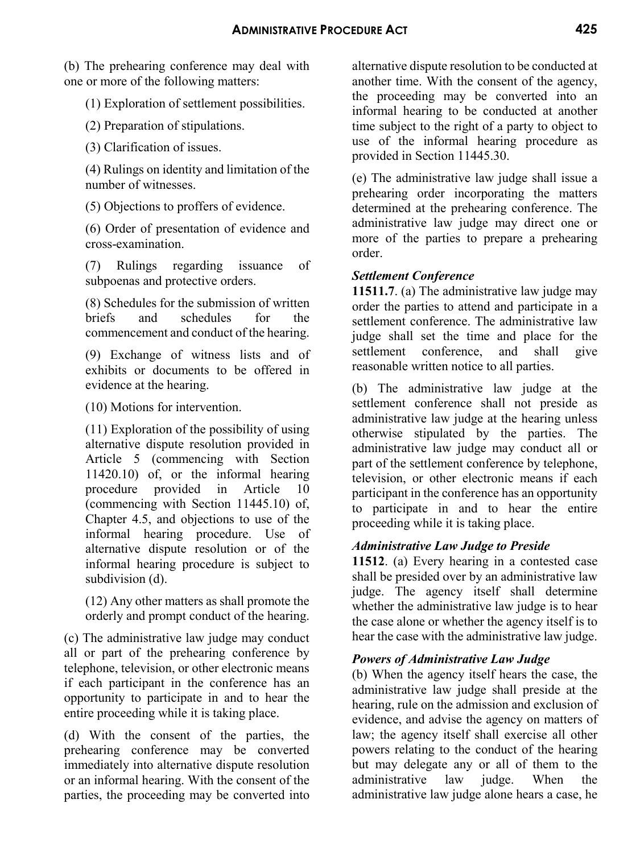(b) The prehearing conference may deal with one or more of the following matters:

(1) Exploration of settlement possibilities.

(2) Preparation of stipulations.

(3) Clarification of issues.

(4) Rulings on identity and limitation of the number of witnesses.

(5) Objections to proffers of evidence.

(6) Order of presentation of evidence and cross-examination.

(7) Rulings regarding issuance of subpoenas and protective orders.

(8) Schedules for the submission of written briefs and schedules for the commencement and conduct of the hearing.

(9) Exchange of witness lists and of exhibits or documents to be offered in evidence at the hearing.

(10) Motions for intervention.

(11) Exploration of the possibility of using alternative dispute resolution provided in Article 5 (commencing with Section 11420.10) of, or the informal hearing procedure provided in Article 10 (commencing with Section 11445.10) of, Chapter 4.5, and objections to use of the informal hearing procedure. Use of alternative dispute resolution or of the informal hearing procedure is subject to subdivision (d).

(12) Any other matters as shall promote the orderly and prompt conduct of the hearing.

(c) The administrative law judge may conduct all or part of the prehearing conference by telephone, television, or other electronic means if each participant in the conference has an opportunity to participate in and to hear the entire proceeding while it is taking place.

(d) With the consent of the parties, the prehearing conference may be converted immediately into alternative dispute resolution or an informal hearing. With the consent of the parties, the proceeding may be converted into

alternative dispute resolution to be conducted at another time. With the consent of the agency, the proceeding may be converted into an informal hearing to be conducted at another time subject to the right of a party to object to use of the informal hearing procedure as provided in Section 11445.30.

(e) The administrative law judge shall issue a prehearing order incorporating the matters determined at the prehearing conference. The administrative law judge may direct one or more of the parties to prepare a prehearing order.

# *Settlement Conference*

**11511.7**. (a) The administrative law judge may order the parties to attend and participate in a settlement conference. The administrative law judge shall set the time and place for the settlement conference, and shall give reasonable written notice to all parties.

(b) The administrative law judge at the settlement conference shall not preside as administrative law judge at the hearing unless otherwise stipulated by the parties. The administrative law judge may conduct all or part of the settlement conference by telephone, television, or other electronic means if each participant in the conference has an opportunity to participate in and to hear the entire proceeding while it is taking place.

# *Administrative Law Judge to Preside*

**11512**. (a) Every hearing in a contested case shall be presided over by an administrative law judge. The agency itself shall determine whether the administrative law judge is to hear the case alone or whether the agency itself is to hear the case with the administrative law judge.

# *Powers of Administrative Law Judge*

(b) When the agency itself hears the case, the administrative law judge shall preside at the hearing, rule on the admission and exclusion of evidence, and advise the agency on matters of law; the agency itself shall exercise all other powers relating to the conduct of the hearing but may delegate any or all of them to the administrative law judge. When the administrative law judge alone hears a case, he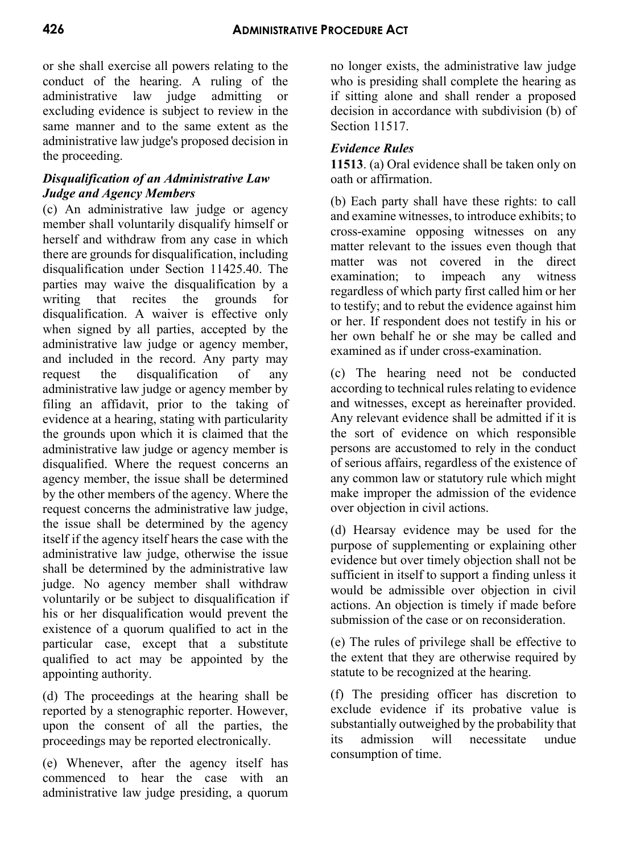or she shall exercise all powers relating to the conduct of the hearing. A ruling of the administrative law judge admitting or excluding evidence is subject to review in the same manner and to the same extent as the administrative law judge's proposed decision in the proceeding.

## *Disqualification of an Administrative Law Judge and Agency Members*

(c) An administrative law judge or agency member shall voluntarily disqualify himself or herself and withdraw from any case in which there are grounds for disqualification, including disqualification under Section 11425.40. The parties may waive the disqualification by a writing that recites the grounds for disqualification. A waiver is effective only when signed by all parties, accepted by the administrative law judge or agency member, and included in the record. Any party may request the disqualification of any administrative law judge or agency member by filing an affidavit, prior to the taking of evidence at a hearing, stating with particularity the grounds upon which it is claimed that the administrative law judge or agency member is disqualified. Where the request concerns an agency member, the issue shall be determined by the other members of the agency. Where the request concerns the administrative law judge, the issue shall be determined by the agency itself if the agency itself hears the case with the administrative law judge, otherwise the issue shall be determined by the administrative law judge. No agency member shall withdraw voluntarily or be subject to disqualification if his or her disqualification would prevent the existence of a quorum qualified to act in the particular case, except that a substitute qualified to act may be appointed by the appointing authority.

(d) The proceedings at the hearing shall be reported by a stenographic reporter. However, upon the consent of all the parties, the proceedings may be reported electronically.

(e) Whenever, after the agency itself has commenced to hear the case with an administrative law judge presiding, a quorum no longer exists, the administrative law judge who is presiding shall complete the hearing as if sitting alone and shall render a proposed decision in accordance with subdivision (b) of Section 11517.

# *Evidence Rules*

**11513**. (a) Oral evidence shall be taken only on oath or affirmation.

(b) Each party shall have these rights: to call and examine witnesses, to introduce exhibits; to cross-examine opposing witnesses on any matter relevant to the issues even though that matter was not covered in the direct examination; to impeach any witness regardless of which party first called him or her to testify; and to rebut the evidence against him or her. If respondent does not testify in his or her own behalf he or she may be called and examined as if under cross-examination.

(c) The hearing need not be conducted according to technical rules relating to evidence and witnesses, except as hereinafter provided. Any relevant evidence shall be admitted if it is the sort of evidence on which responsible persons are accustomed to rely in the conduct of serious affairs, regardless of the existence of any common law or statutory rule which might make improper the admission of the evidence over objection in civil actions.

(d) Hearsay evidence may be used for the purpose of supplementing or explaining other evidence but over timely objection shall not be sufficient in itself to support a finding unless it would be admissible over objection in civil actions. An objection is timely if made before submission of the case or on reconsideration.

(e) The rules of privilege shall be effective to the extent that they are otherwise required by statute to be recognized at the hearing.

(f) The presiding officer has discretion to exclude evidence if its probative value is substantially outweighed by the probability that its admission will necessitate undue consumption of time.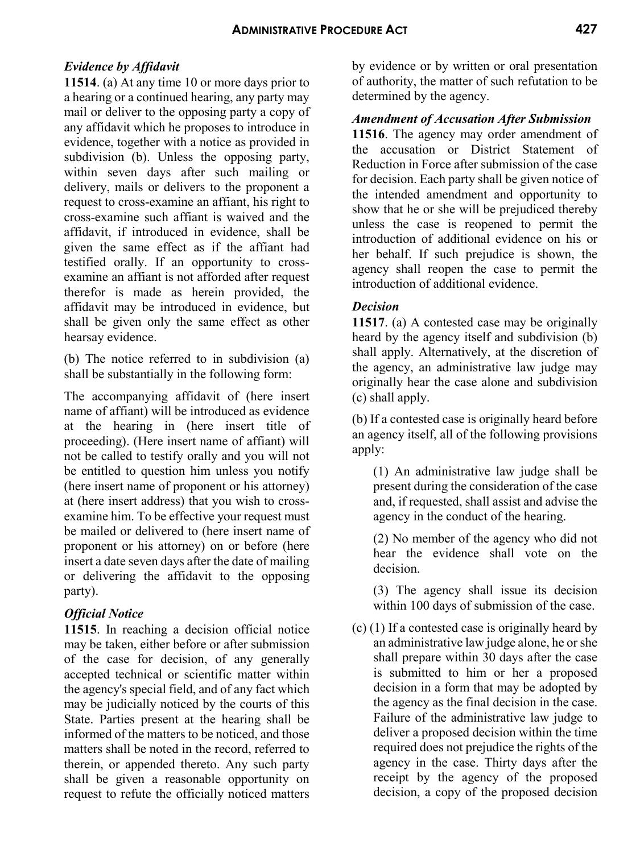## *Evidence by Affidavit*

**11514**. (a) At any time 10 or more days prior to a hearing or a continued hearing, any party may mail or deliver to the opposing party a copy of any affidavit which he proposes to introduce in evidence, together with a notice as provided in subdivision (b). Unless the opposing party, within seven days after such mailing or delivery, mails or delivers to the proponent a request to cross-examine an affiant, his right to cross-examine such affiant is waived and the affidavit, if introduced in evidence, shall be given the same effect as if the affiant had testified orally. If an opportunity to crossexamine an affiant is not afforded after request therefor is made as herein provided, the affidavit may be introduced in evidence, but shall be given only the same effect as other hearsay evidence.

(b) The notice referred to in subdivision (a) shall be substantially in the following form:

The accompanying affidavit of (here insert name of affiant) will be introduced as evidence at the hearing in (here insert title of proceeding). (Here insert name of affiant) will not be called to testify orally and you will not be entitled to question him unless you notify (here insert name of proponent or his attorney) at (here insert address) that you wish to crossexamine him. To be effective your request must be mailed or delivered to (here insert name of proponent or his attorney) on or before (here insert a date seven days after the date of mailing or delivering the affidavit to the opposing party).

#### *Official Notice*

**11515**. In reaching a decision official notice may be taken, either before or after submission of the case for decision, of any generally accepted technical or scientific matter within the agency's special field, and of any fact which may be judicially noticed by the courts of this State. Parties present at the hearing shall be informed of the matters to be noticed, and those matters shall be noted in the record, referred to therein, or appended thereto. Any such party shall be given a reasonable opportunity on request to refute the officially noticed matters

by evidence or by written or oral presentation of authority, the matter of such refutation to be determined by the agency.

*Amendment of Accusation After Submission*

**11516**. The agency may order amendment of the accusation or District Statement of Reduction in Force after submission of the case for decision. Each party shall be given notice of the intended amendment and opportunity to show that he or she will be prejudiced thereby unless the case is reopened to permit the introduction of additional evidence on his or her behalf. If such prejudice is shown, the agency shall reopen the case to permit the introduction of additional evidence.

#### *Decision*

**11517**. (a) A contested case may be originally heard by the agency itself and subdivision (b) shall apply. Alternatively, at the discretion of the agency, an administrative law judge may originally hear the case alone and subdivision (c) shall apply.

(b) If a contested case is originally heard before an agency itself, all of the following provisions apply:

(1) An administrative law judge shall be present during the consideration of the case and, if requested, shall assist and advise the agency in the conduct of the hearing.

(2) No member of the agency who did not hear the evidence shall vote on the decision.

(3) The agency shall issue its decision within 100 days of submission of the case.

(c) (1) If a contested case is originally heard by an administrative law judge alone, he or she shall prepare within 30 days after the case is submitted to him or her a proposed decision in a form that may be adopted by the agency as the final decision in the case. Failure of the administrative law judge to deliver a proposed decision within the time required does not prejudice the rights of the agency in the case. Thirty days after the receipt by the agency of the proposed decision, a copy of the proposed decision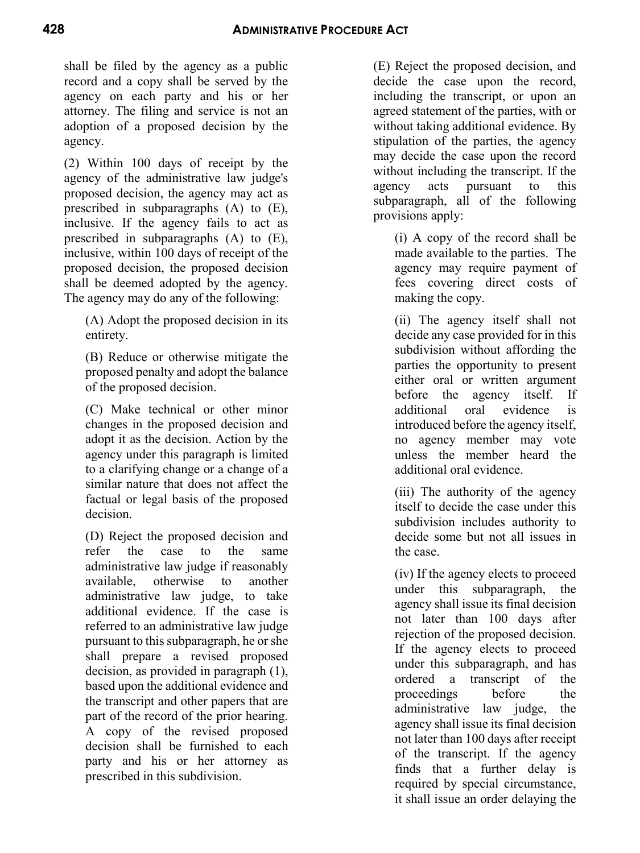shall be filed by the agency as a public record and a copy shall be served by the agency on each party and his or her attorney. The filing and service is not an adoption of a proposed decision by the agency.

(2) Within 100 days of receipt by the agency of the administrative law judge's proposed decision, the agency may act as prescribed in subparagraphs (A) to (E), inclusive. If the agency fails to act as prescribed in subparagraphs (A) to (E), inclusive, within 100 days of receipt of the proposed decision, the proposed decision shall be deemed adopted by the agency. The agency may do any of the following:

(A) Adopt the proposed decision in its entirety.

(B) Reduce or otherwise mitigate the proposed penalty and adopt the balance of the proposed decision.

(C) Make technical or other minor changes in the proposed decision and adopt it as the decision. Action by the agency under this paragraph is limited to a clarifying change or a change of a similar nature that does not affect the factual or legal basis of the proposed decision.

(D) Reject the proposed decision and refer the case to the same administrative law judge if reasonably available, otherwise to another administrative law judge, to take additional evidence. If the case is referred to an administrative law judge pursuant to this subparagraph, he or she shall prepare a revised proposed decision, as provided in paragraph (1), based upon the additional evidence and the transcript and other papers that are part of the record of the prior hearing. A copy of the revised proposed decision shall be furnished to each party and his or her attorney as prescribed in this subdivision.

(E) Reject the proposed decision, and decide the case upon the record, including the transcript, or upon an agreed statement of the parties, with or without taking additional evidence. By stipulation of the parties, the agency may decide the case upon the record without including the transcript. If the agency acts pursuant to this subparagraph, all of the following provisions apply:

(i) A copy of the record shall be made available to the parties. The agency may require payment of fees covering direct costs of making the copy.

(ii) The agency itself shall not decide any case provided for in this subdivision without affording the parties the opportunity to present either oral or written argument before the agency itself. If additional oral evidence is introduced before the agency itself, no agency member may vote unless the member heard the additional oral evidence.

(iii) The authority of the agency itself to decide the case under this subdivision includes authority to decide some but not all issues in the case.

(iv) If the agency elects to proceed under this subparagraph, the agency shall issue its final decision not later than 100 days after rejection of the proposed decision. If the agency elects to proceed under this subparagraph, and has ordered a transcript of the proceedings before the administrative law judge, the agency shall issue its final decision not later than 100 days after receipt of the transcript. If the agency finds that a further delay is required by special circumstance, it shall issue an order delaying the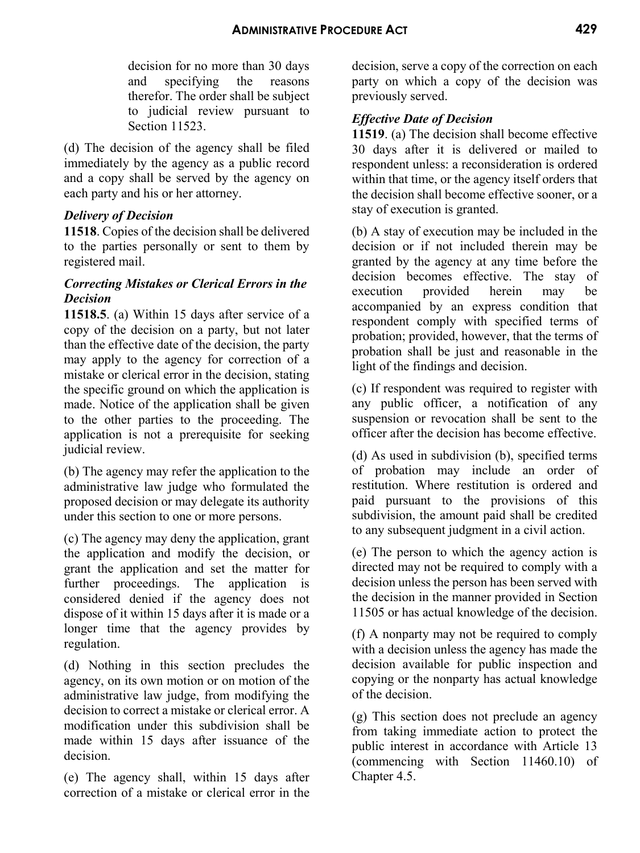decision for no more than 30 days and specifying the reasons therefor. The order shall be subject to judicial review pursuant to Section 11523.

(d) The decision of the agency shall be filed immediately by the agency as a public record and a copy shall be served by the agency on each party and his or her attorney.

#### *Delivery of Decision*

**11518**. Copies of the decision shall be delivered to the parties personally or sent to them by registered mail.

#### *Correcting Mistakes or Clerical Errors in the Decision*

**11518.5**. (a) Within 15 days after service of a copy of the decision on a party, but not later than the effective date of the decision, the party may apply to the agency for correction of a mistake or clerical error in the decision, stating the specific ground on which the application is made. Notice of the application shall be given to the other parties to the proceeding. The application is not a prerequisite for seeking judicial review.

(b) The agency may refer the application to the administrative law judge who formulated the proposed decision or may delegate its authority under this section to one or more persons.

(c) The agency may deny the application, grant the application and modify the decision, or grant the application and set the matter for further proceedings. The application is considered denied if the agency does not dispose of it within 15 days after it is made or a longer time that the agency provides by regulation.

(d) Nothing in this section precludes the agency, on its own motion or on motion of the administrative law judge, from modifying the decision to correct a mistake or clerical error. A modification under this subdivision shall be made within 15 days after issuance of the decision.

(e) The agency shall, within 15 days after correction of a mistake or clerical error in the

decision, serve a copy of the correction on each party on which a copy of the decision was previously served.

# *Effective Date of Decision*

**11519**. (a) The decision shall become effective 30 days after it is delivered or mailed to respondent unless: a reconsideration is ordered within that time, or the agency itself orders that the decision shall become effective sooner, or a stay of execution is granted.

(b) A stay of execution may be included in the decision or if not included therein may be granted by the agency at any time before the decision becomes effective. The stay of execution provided herein may be accompanied by an express condition that respondent comply with specified terms of probation; provided, however, that the terms of probation shall be just and reasonable in the light of the findings and decision.

(c) If respondent was required to register with any public officer, a notification of any suspension or revocation shall be sent to the officer after the decision has become effective.

(d) As used in subdivision (b), specified terms of probation may include an order of restitution. Where restitution is ordered and paid pursuant to the provisions of this subdivision, the amount paid shall be credited to any subsequent judgment in a civil action.

(e) The person to which the agency action is directed may not be required to comply with a decision unless the person has been served with the decision in the manner provided in Section 11505 or has actual knowledge of the decision.

(f) A nonparty may not be required to comply with a decision unless the agency has made the decision available for public inspection and copying or the nonparty has actual knowledge of the decision.

(g) This section does not preclude an agency from taking immediate action to protect the public interest in accordance with Article 13 (commencing with Section 11460.10) of Chapter 4.5.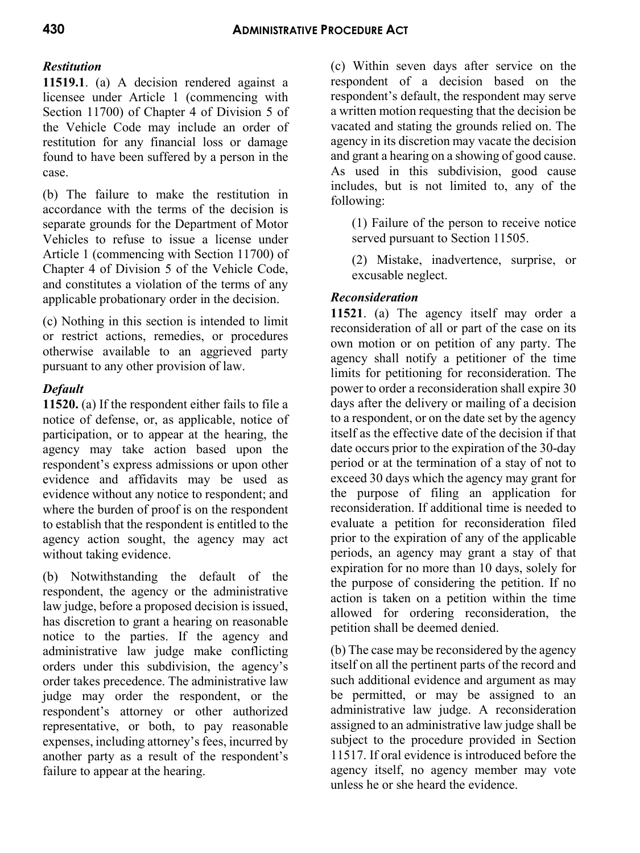## *Restitution*

**11519.1**. (a) A decision rendered against a licensee under Article 1 (commencing with Section 11700) of Chapter 4 of Division 5 of the Vehicle Code may include an order of restitution for any financial loss or damage found to have been suffered by a person in the case.

(b) The failure to make the restitution in accordance with the terms of the decision is separate grounds for the Department of Motor Vehicles to refuse to issue a license under Article 1 (commencing with Section 11700) of Chapter 4 of Division 5 of the Vehicle Code, and constitutes a violation of the terms of any applicable probationary order in the decision.

(c) Nothing in this section is intended to limit or restrict actions, remedies, or procedures otherwise available to an aggrieved party pursuant to any other provision of law.

## *Default*

**11520.** (a) If the respondent either fails to file a notice of defense, or, as applicable, notice of participation, or to appear at the hearing, the agency may take action based upon the respondent's express admissions or upon other evidence and affidavits may be used as evidence without any notice to respondent; and where the burden of proof is on the respondent to establish that the respondent is entitled to the agency action sought, the agency may act without taking evidence.

(b) Notwithstanding the default of the respondent, the agency or the administrative law judge, before a proposed decision is issued, has discretion to grant a hearing on reasonable notice to the parties. If the agency and administrative law judge make conflicting orders under this subdivision, the agency's order takes precedence. The administrative law judge may order the respondent, or the respondent's attorney or other authorized representative, or both, to pay reasonable expenses, including attorney's fees, incurred by another party as a result of the respondent's failure to appear at the hearing.

(c) Within seven days after service on the respondent of a decision based on the respondent's default, the respondent may serve a written motion requesting that the decision be vacated and stating the grounds relied on. The agency in its discretion may vacate the decision and grant a hearing on a showing of good cause. As used in this subdivision, good cause includes, but is not limited to, any of the following:

(1) Failure of the person to receive notice served pursuant to Section 11505.

(2) Mistake, inadvertence, surprise, or excusable neglect.

## *Reconsideration*

**11521**. (a) The agency itself may order a reconsideration of all or part of the case on its own motion or on petition of any party. The agency shall notify a petitioner of the time limits for petitioning for reconsideration. The power to order a reconsideration shall expire 30 days after the delivery or mailing of a decision to a respondent, or on the date set by the agency itself as the effective date of the decision if that date occurs prior to the expiration of the 30-day period or at the termination of a stay of not to exceed 30 days which the agency may grant for the purpose of filing an application for reconsideration. If additional time is needed to evaluate a petition for reconsideration filed prior to the expiration of any of the applicable periods, an agency may grant a stay of that expiration for no more than 10 days, solely for the purpose of considering the petition. If no action is taken on a petition within the time allowed for ordering reconsideration, the petition shall be deemed denied.

(b) The case may be reconsidered by the agency itself on all the pertinent parts of the record and such additional evidence and argument as may be permitted, or may be assigned to an administrative law judge. A reconsideration assigned to an administrative law judge shall be subject to the procedure provided in Section 11517. If oral evidence is introduced before the agency itself, no agency member may vote unless he or she heard the evidence.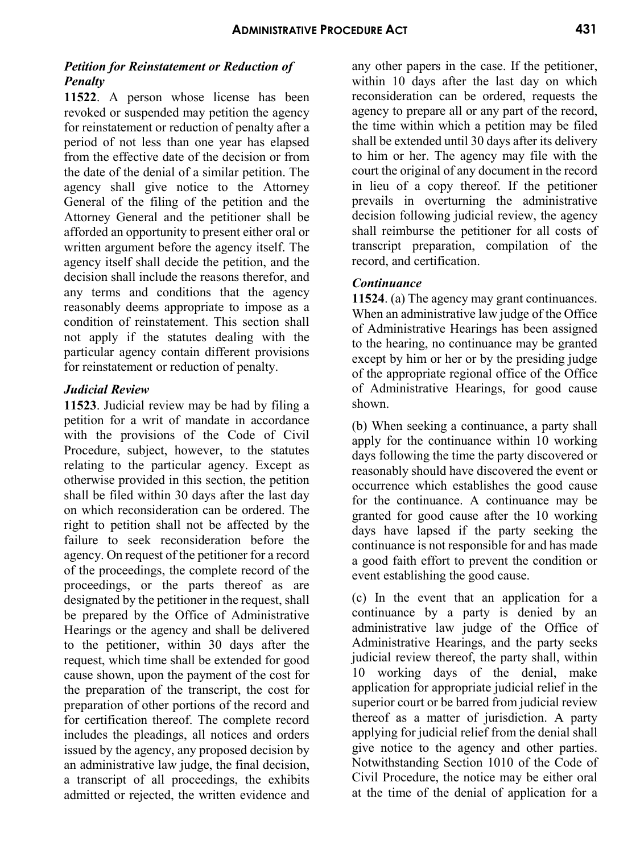#### *Petition for Reinstatement or Reduction of Penalty*

**11522**. A person whose license has been revoked or suspended may petition the agency for reinstatement or reduction of penalty after a period of not less than one year has elapsed from the effective date of the decision or from the date of the denial of a similar petition. The agency shall give notice to the Attorney General of the filing of the petition and the Attorney General and the petitioner shall be afforded an opportunity to present either oral or written argument before the agency itself. The agency itself shall decide the petition, and the decision shall include the reasons therefor, and any terms and conditions that the agency reasonably deems appropriate to impose as a condition of reinstatement. This section shall not apply if the statutes dealing with the particular agency contain different provisions for reinstatement or reduction of penalty.

#### *Judicial Review*

**11523**. Judicial review may be had by filing a petition for a writ of mandate in accordance with the provisions of the Code of Civil Procedure, subject, however, to the statutes relating to the particular agency. Except as otherwise provided in this section, the petition shall be filed within 30 days after the last day on which reconsideration can be ordered. The right to petition shall not be affected by the failure to seek reconsideration before the agency. On request of the petitioner for a record of the proceedings, the complete record of the proceedings, or the parts thereof as are designated by the petitioner in the request, shall be prepared by the Office of Administrative Hearings or the agency and shall be delivered to the petitioner, within 30 days after the request, which time shall be extended for good cause shown, upon the payment of the cost for the preparation of the transcript, the cost for preparation of other portions of the record and for certification thereof. The complete record includes the pleadings, all notices and orders issued by the agency, any proposed decision by an administrative law judge, the final decision, a transcript of all proceedings, the exhibits admitted or rejected, the written evidence and

any other papers in the case. If the petitioner, within 10 days after the last day on which reconsideration can be ordered, requests the agency to prepare all or any part of the record, the time within which a petition may be filed shall be extended until 30 days after its delivery to him or her. The agency may file with the court the original of any document in the record in lieu of a copy thereof. If the petitioner prevails in overturning the administrative decision following judicial review, the agency shall reimburse the petitioner for all costs of transcript preparation, compilation of the record, and certification.

#### *Continuance*

**11524**. (a) The agency may grant continuances. When an administrative law judge of the Office of Administrative Hearings has been assigned to the hearing, no continuance may be granted except by him or her or by the presiding judge of the appropriate regional office of the Office of Administrative Hearings, for good cause shown.

(b) When seeking a continuance, a party shall apply for the continuance within 10 working days following the time the party discovered or reasonably should have discovered the event or occurrence which establishes the good cause for the continuance. A continuance may be granted for good cause after the 10 working days have lapsed if the party seeking the continuance is not responsible for and has made a good faith effort to prevent the condition or event establishing the good cause.

(c) In the event that an application for a continuance by a party is denied by an administrative law judge of the Office of Administrative Hearings, and the party seeks judicial review thereof, the party shall, within 10 working days of the denial, make application for appropriate judicial relief in the superior court or be barred from judicial review thereof as a matter of jurisdiction. A party applying for judicial relief from the denial shall give notice to the agency and other parties. Notwithstanding Section 1010 of the Code of Civil Procedure, the notice may be either oral at the time of the denial of application for a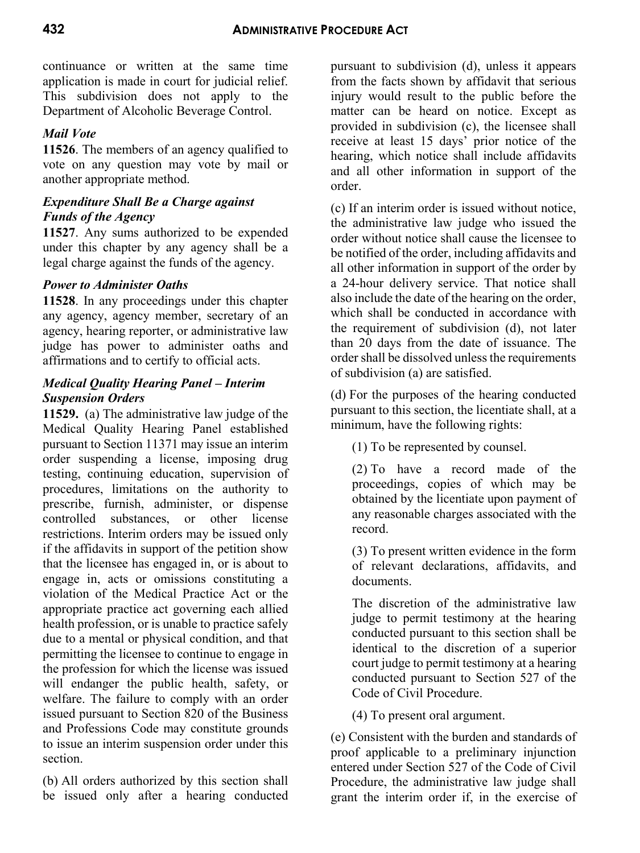continuance or written at the same time application is made in court for judicial relief. This subdivision does not apply to the Department of Alcoholic Beverage Control.

## *Mail Vote*

**11526**. The members of an agency qualified to vote on any question may vote by mail or another appropriate method.

#### *Expenditure Shall Be a Charge against Funds of the Agency*

**11527**. Any sums authorized to be expended under this chapter by any agency shall be a legal charge against the funds of the agency.

#### *Power to Administer Oaths*

**11528**. In any proceedings under this chapter any agency, agency member, secretary of an agency, hearing reporter, or administrative law judge has power to administer oaths and affirmations and to certify to official acts.

#### *Medical Quality Hearing Panel – Interim Suspension Orders*

**11529.** (a) The administrative law judge of the Medical Quality Hearing Panel established pursuant to Section 11371 may issue an interim order suspending a license, imposing drug testing, continuing education, supervision of procedures, limitations on the authority to prescribe, furnish, administer, or dispense controlled substances, or other license restrictions. Interim orders may be issued only if the affidavits in support of the petition show that the licensee has engaged in, or is about to engage in, acts or omissions constituting a violation of the Medical Practice Act or the appropriate practice act governing each allied health profession, or is unable to practice safely due to a mental or physical condition, and that permitting the licensee to continue to engage in the profession for which the license was issued will endanger the public health, safety, or welfare. The failure to comply with an order issued pursuant to Section 820 of the Business and Professions Code may constitute grounds to issue an interim suspension order under this section.

(b) All orders authorized by this section shall be issued only after a hearing conducted

pursuant to subdivision (d), unless it appears from the facts shown by affidavit that serious injury would result to the public before the matter can be heard on notice. Except as provided in subdivision (c), the licensee shall receive at least 15 days' prior notice of the hearing, which notice shall include affidavits and all other information in support of the order.

(c) If an interim order is issued without notice, the administrative law judge who issued the order without notice shall cause the licensee to be notified of the order, including affidavits and all other information in support of the order by a 24-hour delivery service. That notice shall also include the date of the hearing on the order, which shall be conducted in accordance with the requirement of subdivision (d), not later than 20 days from the date of issuance. The order shall be dissolved unless the requirements of subdivision (a) are satisfied.

(d) For the purposes of the hearing conducted pursuant to this section, the licentiate shall, at a minimum, have the following rights:

(1) To be represented by counsel.

(2) To have a record made of the proceedings, copies of which may be obtained by the licentiate upon payment of any reasonable charges associated with the record.

(3) To present written evidence in the form of relevant declarations, affidavits, and documents.

The discretion of the administrative law judge to permit testimony at the hearing conducted pursuant to this section shall be identical to the discretion of a superior court judge to permit testimony at a hearing conducted pursuant to Section 527 of the Code of Civil Procedure.

(4) To present oral argument.

(e) Consistent with the burden and standards of proof applicable to a preliminary injunction entered under Section 527 of the Code of Civil Procedure, the administrative law judge shall grant the interim order if, in the exercise of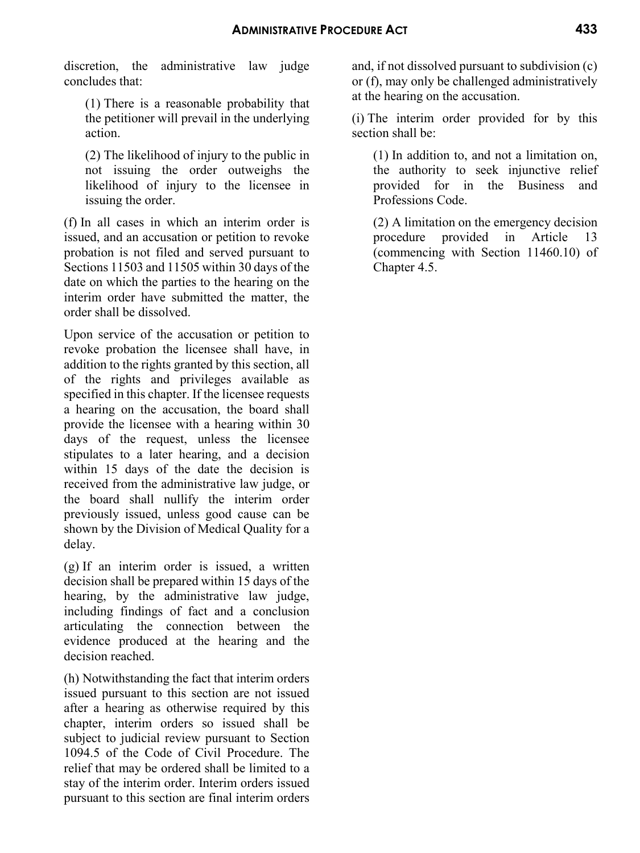discretion, the administrative law judge concludes that:

(1) There is a reasonable probability that the petitioner will prevail in the underlying action.

(2) The likelihood of injury to the public in not issuing the order outweighs the likelihood of injury to the licensee in issuing the order.

(f) In all cases in which an interim order is issued, and an accusation or petition to revoke probation is not filed and served pursuant to Sections 11503 and 11505 within 30 days of the date on which the parties to the hearing on the interim order have submitted the matter, the order shall be dissolved.

Upon service of the accusation or petition to revoke probation the licensee shall have, in addition to the rights granted by this section, all of the rights and privileges available as specified in this chapter. If the licensee requests a hearing on the accusation, the board shall provide the licensee with a hearing within 30 days of the request, unless the licensee stipulates to a later hearing, and a decision within 15 days of the date the decision is received from the administrative law judge, or the board shall nullify the interim order previously issued, unless good cause can be shown by the Division of Medical Quality for a delay.

(g) If an interim order is issued, a written decision shall be prepared within 15 days of the hearing, by the administrative law judge, including findings of fact and a conclusion articulating the connection between the evidence produced at the hearing and the decision reached.

(h) Notwithstanding the fact that interim orders issued pursuant to this section are not issued after a hearing as otherwise required by this chapter, interim orders so issued shall be subject to judicial review pursuant to Section 1094.5 of the Code of Civil Procedure. The relief that may be ordered shall be limited to a stay of the interim order. Interim orders issued pursuant to this section are final interim orders and, if not dissolved pursuant to subdivision (c) or (f), may only be challenged administratively at the hearing on the accusation.

(i) The interim order provided for by this section shall be:

(1) In addition to, and not a limitation on, the authority to seek injunctive relief provided for in the Business and Professions Code.

(2) A limitation on the emergency decision procedure provided in Article 13 (commencing with Section 11460.10) of Chapter 4.5.